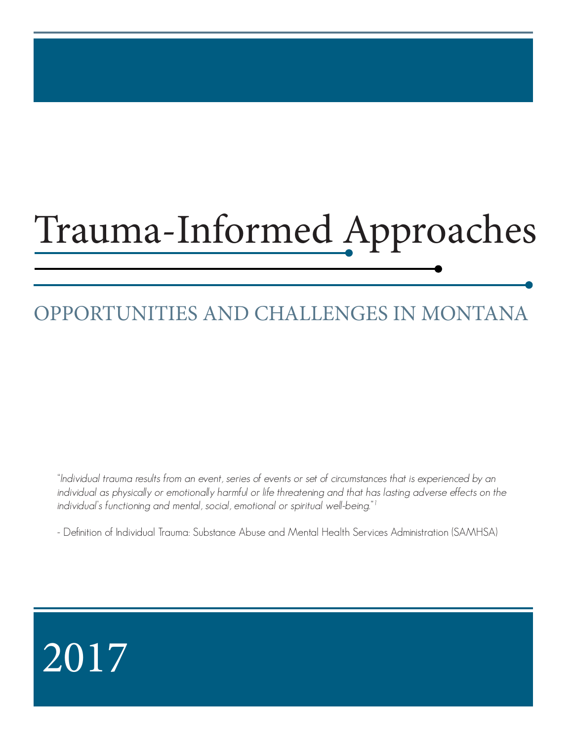# Trauma-Informed Approaches

## OPPORTUNITIES AND CHALLENGES IN MONTANA

"Individual trauma results from an event, series of events or set of circumstances that is experienced by an individual as physically or emotionally harmful or life threatening and that has lasting adverse effects on the individual's functioning and mental, social, emotional or spiritual well-being."<sup>1</sup>

- Definition of Individual Trauma: Substance Abuse and Mental Health Services Administration (SAMHSA)

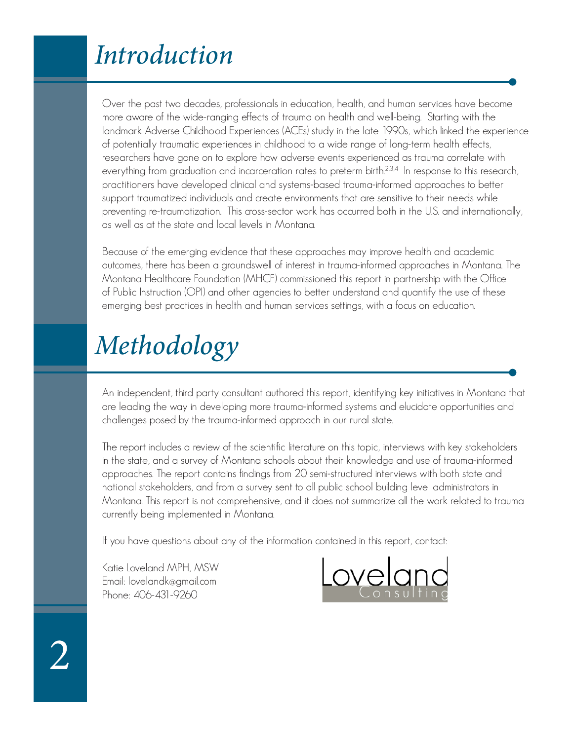## Introduction

Over the past two decades, professionals in education, health, and human services have become more aware of the wide-ranging effects of trauma on health and well-being. Starting with the landmark Adverse Childhood Experiences (ACEs) study in the late 1990s, which linked the experience of potentially traumatic experiences in childhood to a wide range of long-term health effects, researchers have gone on to explore how adverse events experienced as trauma correlate with everything from graduation and incarceration rates to preterm birth.<sup>2,3,4</sup> In response to this research, practitioners have developed clinical and systems-based trauma-informed approaches to better support traumatized individuals and create environments that are sensitive to their needs while preventing re-traumatization. This cross-sector work has occurred both in the U.S. and internationally, as well as at the state and local levels in Montana.

Because of the emerging evidence that these approaches may improve health and academic outcomes, there has been a groundswell of interest in trauma-informed approaches in Montana. The Montana Healthcare Foundation (MHCF) commissioned this report in partnership with the Office of Public Instruction (OPI) and other agencies to better understand and quantify the use of these emerging best practices in health and human services settings, with a focus on education.

## Methodology

An independent, third party consultant authored this report, identifying key initiatives in Montana that are leading the way in developing more trauma-informed systems and elucidate opportunities and challenges posed by the trauma-informed approach in our rural state.

The report includes a review of the scientific literature on this topic, interviews with key stakeholders in the state, and a survey of Montana schools about their knowledge and use of trauma-informed approaches. The report contains findings from 20 semi-structured interviews with both state and national stakeholders, and from a survey sent to all public school building level administrators in Montana. This report is not comprehensive, and it does not summarize all the work related to trauma currently being implemented in Montana.

If you have questions about any of the information contained in this report, contact:

Katie Loveland MPH, MSW Email: lovelandk@gmail.com Phone: 406-431-9260

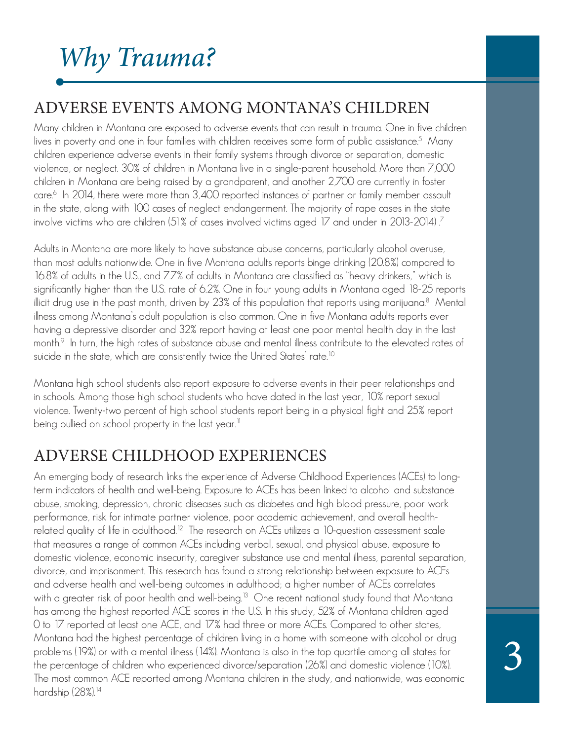## Why Trauma?

### ADVERSE EVENTS AMONG MONTANA'S CHILDREN

Many children in Montana are exposed to adverse events that can result in trauma. One in five children lives in poverty and one in four families with children receives some form of public assistance.<sup>5</sup> Many children experience adverse events in their family systems through divorce or separation, domestic violence, or neglect. 30% of children in Montana live in a single-parent household. More than 7,000 children in Montana are being raised by a grandparent, and another 2,700 are currently in foster care.<sup>6</sup> In 2014, there were more than 3,400 reported instances of partner or family member assault in the state, along with 100 cases of neglect endangerment. The majority of rape cases in the state involve victims who are children (51% of cases involved victims aged 17 and under in 2013-2014)  $\it{?}$ 

Adults in Montana are more likely to have substance abuse concerns, particularly alcohol overuse, than most adults nationwide. One in five Montana adults reports binge drinking (20.8%) compared to 16.8% of adults in the U.S., and 7.7% of adults in Montana are classified as "heavy drinkers," which is significantly higher than the U.S. rate of 6.2%. One in four young adults in Montana aged 18-25 reports illicit drug use in the past month, driven by 23% of this population that reports using marijuana.<sup>8</sup> Mental illness among Montana's adult population is also common. One in five Montana adults reports ever having a depressive disorder and 32% report having at least one poor mental health day in the last month.<sup>9</sup> In turn, the high rates of substance abuse and mental illness contribute to the elevated rates of suicide in the state, which are consistently twice the United States' rate.<sup>10</sup>

Montana high school students also report exposure to adverse events in their peer relationships and in schools. Among those high school students who have dated in the last year, 10% report sexual violence. Twenty-two percent of high school students report being in a physical fight and 25% report being bullied on school property in the last year. $^{\text{\tiny{II}}}$ 

### ADVERSE CHILDHOOD EXPERIENCES

An emerging body of research links the experience of Adverse Childhood Experiences (ACEs) to longterm indicators of health and well-being. Exposure to ACEs has been linked to alcohol and substance abuse, smoking, depression, chronic diseases such as diabetes and high blood pressure, poor work performance, risk for intimate partner violence, poor academic achievement, and overall healthrelated quality of life in adulthood.<sup>12</sup> The research on ACEs utilizes a 10-question assessment scale that measures a range of common ACEs including verbal, sexual, and physical abuse, exposure to domestic violence, economic insecurity, caregiver substance use and mental illness, parental separation, divorce, and imprisonment. This research has found a strong relationship between exposure to ACEs and adverse health and well-being outcomes in adulthood; a higher number of ACEs correlates with a greater risk of poor health and well-being.<sup>13</sup> One recent national study found that Montana has among the highest reported ACE scores in the U.S. In this study, 52% of Montana children aged 0 to 17 reported at least one ACE, and 17% had three or more ACEs. Compared to other states, Montana had the highest percentage of children living in a home with someone with alcohol or drug problems (19%) or with a mental illness (14%). Montana is also in the top quartile among all states for the percentage of children who experienced divorce/separation (26%) and domestic violence (10%). The most common ACE reported among Montana children in the study, and nationwide, was economic hardship (28%).<sup>14</sup>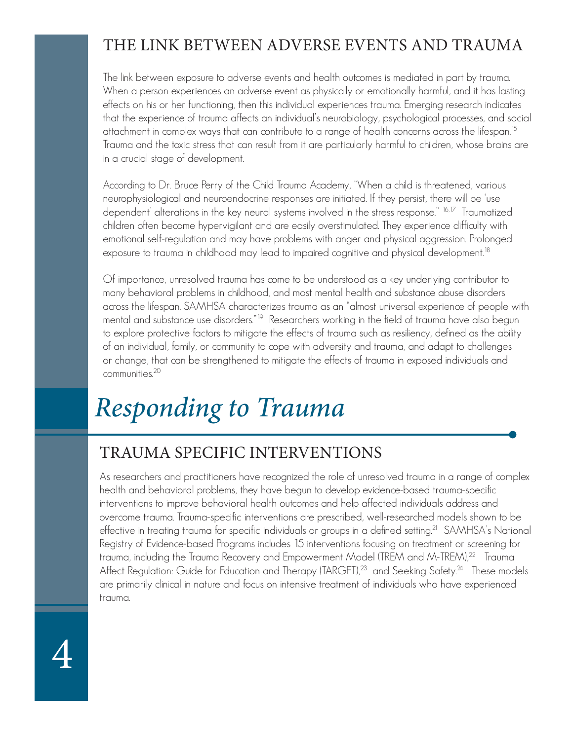### THE LINK BETWEEN ADVERSE EVENTS AND TRAUMA

The link between exposure to adverse events and health outcomes is mediated in part by trauma. When a person experiences an adverse event as physically or emotionally harmful, and it has lasting effects on his or her functioning, then this individual experiences trauma. Emerging research indicates that the experience of trauma affects an individual's neurobiology, psychological processes, and social attachment in complex ways that can contribute to a range of health concerns across the lifespan.<sup>15</sup> Trauma and the toxic stress that can result from it are particularly harmful to children, whose brains are in a crucial stage of development.

According to Dr. Bruce Perry of the Child Trauma Academy, "When a child is threatened, various neurophysiological and neuroendocrine responses are initiated. If they persist, there will be 'use dependent' alterations in the key neural systems involved in the stress response." <sup>16,17</sup> Traumatized children often become hypervigilant and are easily overstimulated. They experience difficulty with emotional self-regulation and may have problems with anger and physical aggression. Prolonged exposure to trauma in childhood may lead to impaired cognitive and physical development. $18$ 

Of importance, unresolved trauma has come to be understood as a key underlying contributor to many behavioral problems in childhood, and most mental health and substance abuse disorders across the lifespan. SAMHSA characterizes trauma as an "almost universal experience of people with mental and substance use disorders.<sup>"19</sup> Researchers working in the field of trauma have also begun to explore protective factors to mitigate the effects of trauma such as resiliency, defined as the ability of an individual, family, or community to cope with adversity and trauma, and adapt to challenges or change, that can be strengthened to mitigate the effects of trauma in exposed individuals and communities.<sup>20</sup>

## Responding to Trauma

4

### TRAUMA SPECIFIC INTERVENTIONS

As researchers and practitioners have recognized the role of unresolved trauma in a range of complex health and behavioral problems, they have begun to develop evidence-based trauma-specific interventions to improve behavioral health outcomes and help affected individuals address and overcome trauma. Trauma-specific interventions are prescribed, well-researched models shown to be effective in treating trauma for specific individuals or groups in a defined setting.<sup>21</sup> SAMHSA's National Registry of Evidence-based Programs includes 15 interventions focusing on treatment or screening for trauma, including the Trauma Recovery and Empowerment Model (TREM and M-TREM),<sup>22</sup> Trauma Affect Regulation: Guide for Education and Therapy (TARGET),<sup>23</sup> and Seeking Safety.<sup>24</sup> These models are primarily clinical in nature and focus on intensive treatment of individuals who have experienced trauma.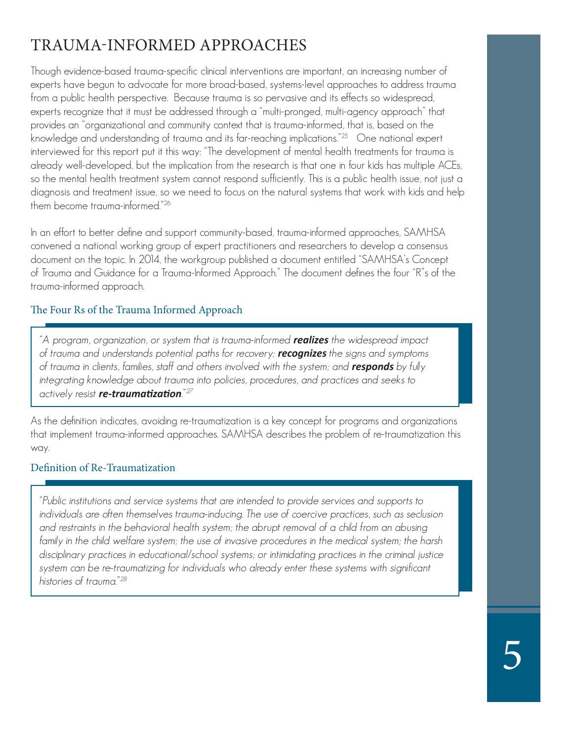### TRAUMA-INFORMED APPROACHES

Though evidence-based trauma-specific clinical interventions are important, an increasing number of experts have begun to advocate for more broad-based, systems-level approaches to address trauma from a public health perspective. Because trauma is so pervasive and its effects so widespread, experts recognize that it must be addressed through a "multi-pronged, multi-agency approach" that provides an "organizational and community context that is trauma-informed, that is, based on the knowledge and understanding of trauma and its far-reaching implications."25 One national expert interviewed for this report put it this way: "The development of mental health treatments for trauma is already well-developed, but the implication from the research is that one in four kids has multiple ACEs, so the mental health treatment system cannot respond sufficiently. This is a public health issue, not just a diagnosis and treatment issue, so we need to focus on the natural systems that work with kids and help them become trauma-informed."<sup>26</sup>

In an effort to better define and support community-based, trauma-informed approaches, SAMHSA convened a national working group of expert practitioners and researchers to develop a consensus document on the topic. In 2014, the workgroup published a document entitled "SAMHSA's Concept of Trauma and Guidance for a Trauma-Informed Approach." The document defines the four "R"s of the trauma-informed approach.

### The Four Rs of the Trauma Informed Approach

"A program, organization, or system that is trauma-informed *realizes* the widespread impact of trauma and understands potential paths for recovery; *recognizes* the signs and symptoms of trauma in clients, families, staff and others involved with the system; and *responds* by fully integrating knowledge about trauma into policies, procedures, and practices and seeks to actively resist *re-traumatization*."<sup>27</sup>

As the definition indicates, avoiding re-traumatization is a key concept for programs and organizations that implement trauma-informed approaches. SAMHSA describes the problem of re-traumatization this way.

### Definition of Re-Traumatization

"Public institutions and service systems that are intended to provide services and supports to individuals are often themselves trauma-inducing. The use of coercive practices, such as seclusion and restraints in the behavioral health system; the abrupt removal of a child from an abusing family in the child welfare system; the use of invasive procedures in the medical system; the harsh disciplinary practices in educational/school systems; or intimidating practices in the criminal justice system can be re-traumatizing for individuals who already enter these systems with significant histories of trauma."<sup>28</sup>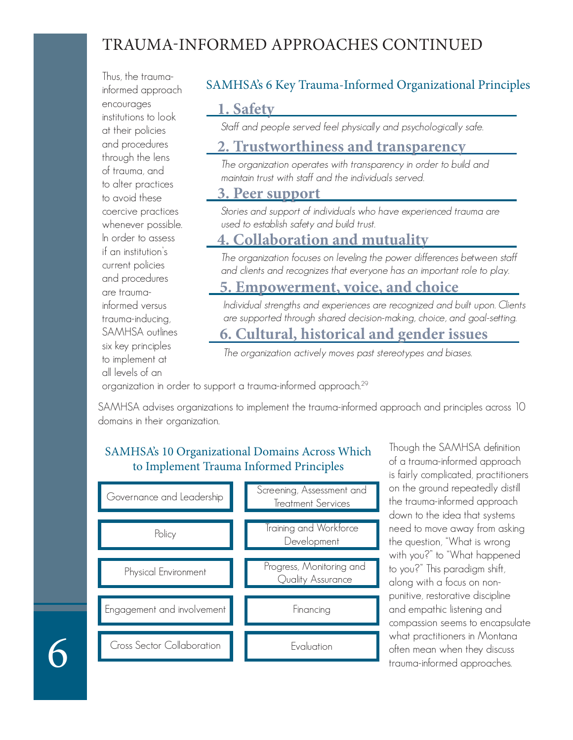### TRAUMA-INFORMED APPROACHES CONTINUED

Thus, the traumainformed approach encourages institutions to look at their policies and procedures through the lens of trauma, and to alter practices to avoid these coercive practices whenever possible. In order to assess if an institution's current policies and procedures are traumainformed versus trauma-inducing, SAMHSA outlines six key principles to implement at all levels of an

### SAMHSA's 6 Key Trauma-Informed Organizational Principles

### **1. Safety**

Staff and people served feel physically and psychologically safe.

### **2. Trustworthiness and transparency**

The organization operates with transparency in order to build and maintain trust with staff and the individuals served.

### **3. Peer support**

Stories and support of individuals who have experienced trauma are used to establish safety and build trust.

### **4. Collaboration and mutuality**

The organization focuses on leveling the power differences between staff and clients and recognizes that everyone has an important role to play.

### **5. Empowerment, voice, and choice**

Individual strengths and experiences are recognized and built upon. Clients are supported through shared decision-making, choice, and goal-setting.

### **6. Cultural, historical and gender issues**

The organization actively moves past stereotypes and biases.

organization in order to support a trauma-informed approach.<sup>29</sup>

SAMHSA advises organizations to implement the trauma-informed approach and principles across 10 domains in their organization.

### SAMHSA's 10 Organizational Domains Across Which to Implement Trauma Informed Principles



Though the SAMHSA definition of a trauma-informed approach is fairly complicated, practitioners on the ground repeatedly distill the trauma-informed approach down to the idea that systems need to move away from asking the question, "What is wrong with you?" to "What happened to you?" This paradigm shift, along with a focus on nonpunitive, restorative discipline and empathic listening and compassion seems to encapsulate what practitioners in Montana often mean when they discuss trauma-informed approaches.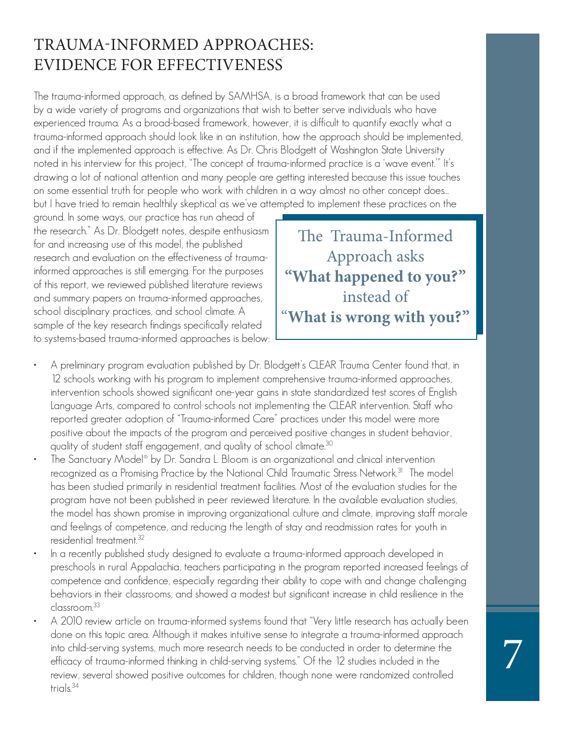### TRAUMA-INFORMED APPROACHES: EVIDENCE FOR EFFECTIVENESS

The trauma-informed approach, as defined by SAMHSA, is a broad framework that can be used by a wide variety of programs and organizations that wish to better serve individuals who have experienced trauma. As a broad-based framework, however, it is difficult to quantify exactly what a trauma-informed approach should look like in an institution, how the approach should be implemented, and if the implemented approach is effective. As Dr. Chris Blodgett of Washington State University noted in his interview for this project, "The concept of trauma-informed practice is a 'wave event.'" It's drawing a lot of national attention and many people are getting interested because this issue touches on some essential truth for people who work with children in a way almost no other concept does… but I have tried to remain healthily skeptical as we've attempted to implement these practices on the

ground. In some ways, our practice has run ahead of the research." As Dr. Blodgett notes, despite enthusiasm for and increasing use of this model, the published research and evaluation on the effectiveness of traumainformed approaches is still emerging. For the purposes of this report, we reviewed published literature reviews and summary papers on trauma-informed approaches, school disciplinary practices, and school climate. A sample of the key research findings specifically related to systems-based trauma-informed approaches is below:

The Trauma-Informed Approach asks **"What happened to you?"**  instead of "**What is wrong with you?"**

- A preliminary program evaluation published by Dr. Blodgett's CLEAR Trauma Center found that, in 12 schools working with his program to implement comprehensive trauma-informed approaches, intervention schools showed significant one-year gains in state standardized test scores of English Language Arts, compared to control schools not implementing the CLEAR intervention. Staff who reported greater adoption of "Trauma-informed Care" practices under this model were more positive about the impacts of the program and perceived positive changes in student behavior, quality of student staff engagement, and quality of school climate.<sup>30</sup>
- The Sanctuary Model® by Dr. Sandra L. Bloom is an organizational and clinical intervention recognized as a Promising Practice by the National Child Traumatic Stress Network.<sup>31</sup> The model has been studied primarily in residential treatment facilities. Most of the evaluation studies for the program have not been published in peer reviewed literature. In the available evaluation studies, the model has shown promise in improving organizational culture and climate, improving staff morale and feelings of competence, and reducing the length of stay and readmission rates for youth in residential treatment.<sup>32</sup>
- In a recently published study designed to evaluate a trauma-informed approach developed in preschools in rural Appalachia, teachers participating in the program reported increased feelings of competence and confidence, especially regarding their ability to cope with and change challenging behaviors in their classrooms, and showed a modest but significant increase in child resilience in the classroom.<sup>33</sup>
- A 2010 review article on trauma-informed systems found that "Very little research has actually been done on this topic area. Although it makes intuitive sense to integrate a trauma-informed approach into child-serving systems, much more research needs to be conducted in order to determine the efficacy of trauma-informed thinking in child-serving systems." Of the 12 studies included in the review, several showed positive outcomes for children, though none were randomized controlled trials.<sup>34</sup>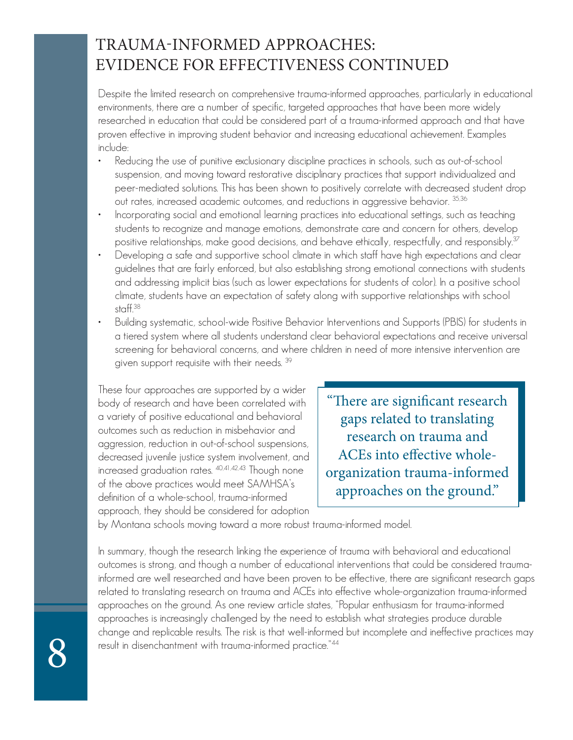### TRAUMA-INFORMED APPROACHES: EVIDENCE FOR EFFECTIVENESS CONTINUED

Despite the limited research on comprehensive trauma-informed approaches, particularly in educational environments, there are a number of specific, targeted approaches that have been more widely researched in education that could be considered part of a trauma-informed approach and that have proven effective in improving student behavior and increasing educational achievement. Examples include:

- Reducing the use of punitive exclusionary discipline practices in schools, such as out-of-school suspension, and moving toward restorative disciplinary practices that support individualized and peer-mediated solutions. This has been shown to positively correlate with decreased student drop out rates, increased academic outcomes, and reductions in aggressive behavior.  $35,36$
- Incorporating social and emotional learning practices into educational settings, such as teaching students to recognize and manage emotions, demonstrate care and concern for others, develop positive relationships, make good decisions, and behave ethically, respectfully, and responsibly.<sup>37</sup>
- Developing a safe and supportive school climate in which staff have high expectations and clear guidelines that are fairly enforced, but also establishing strong emotional connections with students and addressing implicit bias (such as lower expectations for students of color). In a positive school climate, students have an expectation of safety along with supportive relationships with school staff.<sup>38</sup>
- Building systematic, school-wide Positive Behavior Interventions and Supports (PBIS) for students in a tiered system where all students understand clear behavioral expectations and receive universal screening for behavioral concerns, and where children in need of more intensive intervention are given support requisite with their needs.  $39$

These four approaches are supported by a wider body of research and have been correlated with a variety of positive educational and behavioral outcomes such as reduction in misbehavior and aggression, reduction in out-of-school suspensions, decreased juvenile justice system involvement, and increased graduation rates. 40,41,42,43 Though none of the above practices would meet SAMHSA's definition of a whole-school, trauma-informed approach, they should be considered for adoption

"There are significant research gaps related to translating research on trauma and ACEs into effective wholeorganization trauma-informed approaches on the ground."

by Montana schools moving toward a more robust trauma-informed model.

In summary, though the research linking the experience of trauma with behavioral and educational outcomes is strong, and though a number of educational interventions that could be considered traumainformed are well researched and have been proven to be effective, there are significant research gaps related to translating research on trauma and ACEs into effective whole-organization trauma-informed approaches on the ground. As one review article states, "Popular enthusiasm for trauma-informed approaches is increasingly challenged by the need to establish what strategies produce durable change and replicable results. The risk is that well-informed but incomplete and ineffective practices may result in disenchantment with trauma-informed practice."44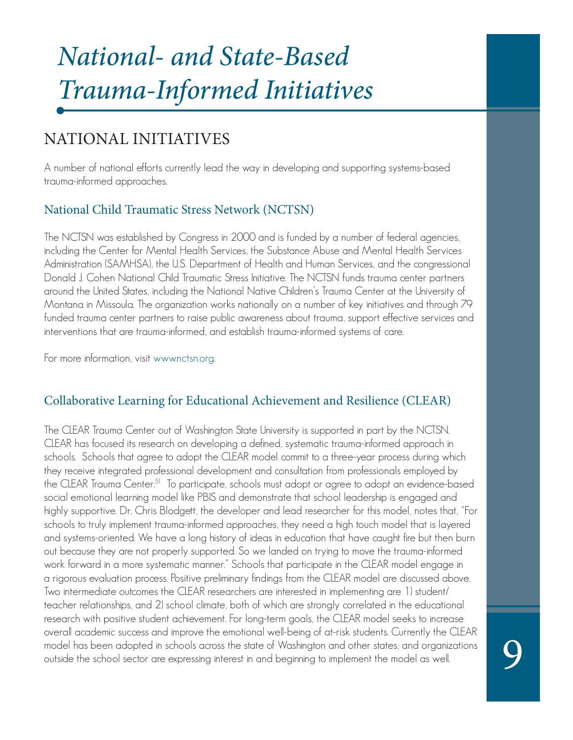## National- and State-Based Trauma-Informed Initiatives

### NATIONAL INITIATIVES

A number of national efforts currently lead the way in developing and supporting systems-based trauma-informed approaches.

### National Child Traumatic Stress Network (NCTSN)

The NCTSN was established by Congress in 2000 and is funded by a number of federal agencies, including the Center for Mental Health Services, the Substance Abuse and Mental Health Services Administration (SAMHSA), the U.S. Department of Health and Human Services, and the congressional Donald J. Cohen National Child Traumatic Stress Initiative. The NCTSN funds trauma center partners around the United States, including the National Native Children's Trauma Center at the University of Montana in Missoula. The organization works nationally on a number of key initiatives and through 79 funded trauma center partners to raise public awareness about trauma, support effective services and interventions that are trauma-informed, and establish trauma-informed systems of care.

For more information, visit www.nctsn.org.

### Collaborative Learning for Educational Achievement and Resilience (CLEAR)

The CLEAR Trauma Center out of Washington State University is supported in part by the NCTSN. CLEAR has focused its research on developing a defined, systematic trauma-informed approach in schools. Schools that agree to adopt the CLEAR model commit to a three-year process during which they receive integrated professional development and consultation from professionals employed by the CLEAR Trauma Center.<sup>51</sup> To participate, schools must adopt or agree to adopt an evidence-based social emotional learning model like PBIS and demonstrate that school leadership is engaged and highly supportive. Dr. Chris Blodgett, the developer and lead researcher for this model, notes that, "For schools to truly implement trauma-informed approaches, they need a high touch model that is layered and systems-oriented. We have a long history of ideas in education that have caught fire but then burn out because they are not properly supported. So we landed on trying to move the trauma-informed work forward in a more systematic manner." Schools that participate in the CLEAR model engage in a rigorous evaluation process. Positive preliminary findings from the CLEAR model are discussed above. Two intermediate outcomes the CLEAR researchers are interested in implementing are 1) student/ teacher relationships, and 2) school climate, both of which are strongly correlated in the educational research with positive student achievement. For long-term goals, the CLEAR model seeks to increase overall academic success and improve the emotional well-being of at-risk students. Currently the CLEAR model has been adopted in schools across the state of Washington and other states, and organizations outside the school sector are expressing interest in and beginning to implement the model as well.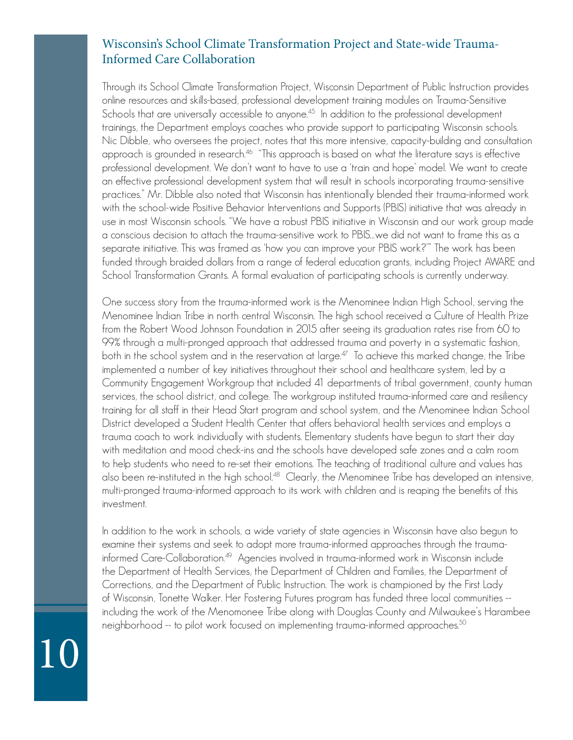### Wisconsin's School Climate Transformation Project and State-wide Trauma-Informed Care Collaboration

Through its School Climate Transformation Project, Wisconsin Department of Public Instruction provides online resources and skills-based, professional development training modules on Trauma-Sensitive Schools that are universally accessible to anyone.<sup>45</sup> In addition to the professional development trainings, the Department employs coaches who provide support to participating Wisconsin schools. Nic Dibble, who oversees the project, notes that this more intensive, capacity-building and consultation approach is grounded in research.<sup>46</sup> "This approach is based on what the literature says is effective professional development. We don't want to have to use a 'train and hope' model. We want to create an effective professional development system that will result in schools incorporating trauma-sensitive practices." Mr. Dibble also noted that Wisconsin has intentionally blended their trauma-informed work with the school-wide Positive Behavior Interventions and Supports (PBIS) initiative that was already in use in most Wisconsin schools. "We have a robust PBIS initiative in Wisconsin and our work group made a conscious decision to attach the trauma-sensitive work to PBIS…we did not want to frame this as a separate initiative. This was framed as 'how you can improve your PBIS work?'" The work has been funded through braided dollars from a range of federal education grants, including Project AWARE and School Transformation Grants. A formal evaluation of participating schools is currently underway.

One success story from the trauma-informed work is the Menominee Indian High School, serving the Menominee Indian Tribe in north central Wisconsin. The high school received a Culture of Health Prize from the Robert Wood Johnson Foundation in 2015 after seeing its graduation rates rise from 60 to 99% through a multi-pronged approach that addressed trauma and poverty in a systematic fashion, both in the school system and in the reservation at large.<sup>47</sup> To achieve this marked change, the Tribe implemented a number of key initiatives throughout their school and healthcare system, led by a Community Engagement Workgroup that included 41 departments of tribal government, county human services, the school district, and college. The workgroup instituted trauma-informed care and resiliency training for all staff in their Head Start program and school system, and the Menominee Indian School District developed a Student Health Center that offers behavioral health services and employs a trauma coach to work individually with students. Elementary students have begun to start their day with meditation and mood check-ins and the schools have developed safe zones and a calm room to help students who need to re-set their emotions. The teaching of traditional culture and values has also been re-instituted in the high school.<sup>48</sup> Clearly, the Menominee Tribe has developed an intensive, multi-pronged trauma-informed approach to its work with children and is reaping the benefits of this investment.

In addition to the work in schools, a wide variety of state agencies in Wisconsin have also begun to examine their systems and seek to adopt more trauma-informed approaches through the traumainformed Care-Collaboration.49 Agencies involved in trauma-informed work in Wisconsin include the Department of Health Services, the Department of Children and Families, the Department of Corrections, and the Department of Public Instruction. The work is championed by the First Lady of Wisconsin, Tonette Walker. Her Fostering Futures program has funded three local communities - including the work of the Menomonee Tribe along with Douglas County and Milwaukee's Harambee neighborhood -- to pilot work focused on implementing trauma-informed approaches.50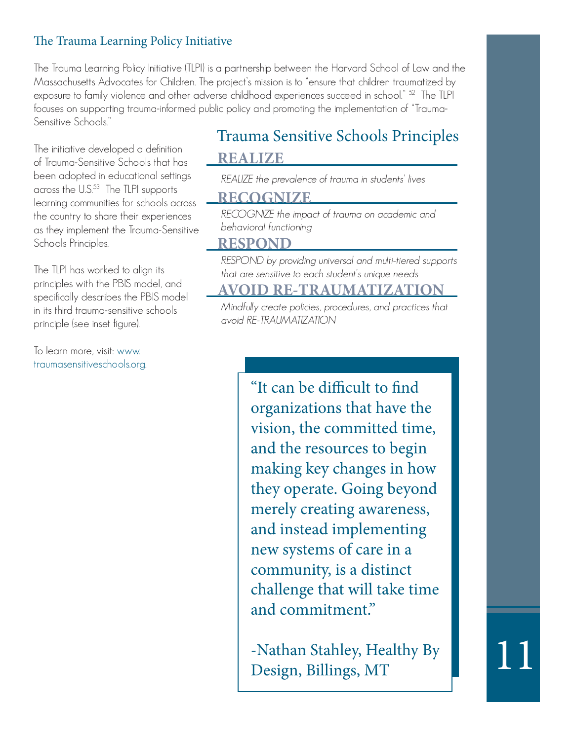### The Trauma Learning Policy Initiative

The Trauma Learning Policy Initiative (TLPI) is a partnership between the Harvard School of Law and the Massachusetts Advocates for Children. The project's mission is to "ensure that children traumatized by exposure to family violence and other adverse childhood experiences succeed in school." <sup>52</sup> The TLPI focuses on supporting trauma-informed public policy and promoting the implementation of "Trauma-Sensitive Schools."

The initiative developed a definition of Trauma-Sensitive Schools that has been adopted in educational settings across the U.S.<sup>53</sup> The TLPI supports learning communities for schools across the country to share their experiences as they implement the Trauma-Sensitive Schools Principles.

The TLPI has worked to align its principles with the PBIS model, and specifically describes the PBIS model in its third trauma-sensitive schools principle (see inset figure).

To learn more, visit: www. traumasensitiveschools.org.

### **REALIZE** Trauma Sensitive Schools Principles

REALIZE the prevalence of trauma in students' lives

### **RECOGNIZE**

RECOGNIZE the impact of trauma on academic and behavioral functioning

### **RESPOND**

RESPOND by providing universal and multi-tiered supports that are sensitive to each student's unique needs

### **AVOID RE-TRAUMATIZATION**

Mindfully create policies, procedures, and practices that avoid RE-TRAUMATIZATION

> "It can be difficult to find organizations that have the vision, the committed time, and the resources to begin making key changes in how they operate. Going beyond merely creating awareness, and instead implementing new systems of care in a community, is a distinct challenge that will take time and commitment."

> -Nathan Stahley, Healthy By Design, Billings, MT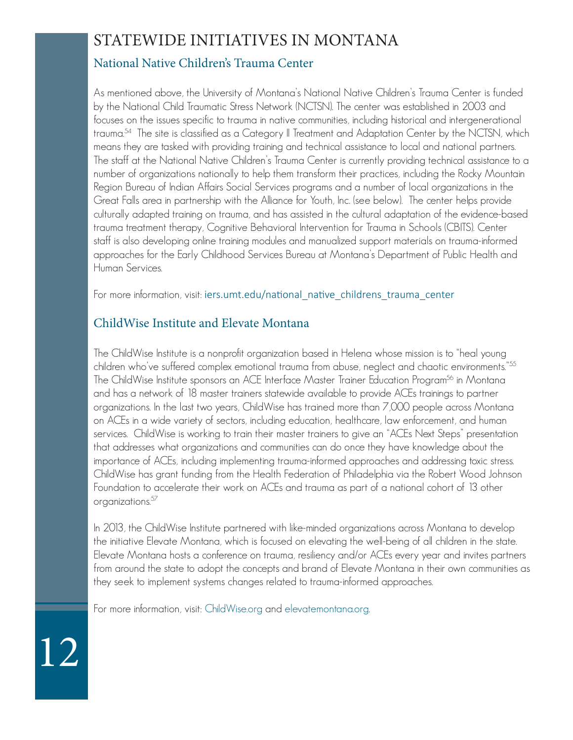### STATEWIDE INITIATIVES IN MONTANA

### National Native Children's Trauma Center

As mentioned above, the University of Montana's National Native Children's Trauma Center is funded by the National Child Traumatic Stress Network (NCTSN). The center was established in 2003 and focuses on the issues specific to trauma in native communities, including historical and intergenerational trauma.<sup>54</sup> The site is classified as a Category II Treatment and Adaptation Center by the NCTSN, which means they are tasked with providing training and technical assistance to local and national partners. The staff at the National Native Children's Trauma Center is currently providing technical assistance to a number of organizations nationally to help them transform their practices, including the Rocky Mountain Region Bureau of Indian Affairs Social Services programs and a number of local organizations in the Great Falls area in partnership with the Alliance for Youth, Inc. (see below). The center helps provide culturally adapted training on trauma, and has assisted in the cultural adaptation of the evidence-based trauma treatment therapy, Cognitive Behavioral Intervention for Trauma in Schools (CBITS). Center staff is also developing online training modules and manualized support materials on trauma-informed approaches for the Early Childhood Services Bureau at Montana's Department of Public Health and Human Services.

For more information, visit: iers.umt.edu/national\_native\_childrens\_trauma\_center

### ChildWise Institute and Elevate Montana

The ChildWise Institute is a nonprofit organization based in Helena whose mission is to "heal young children who've suffered complex emotional trauma from abuse, neglect and chaotic environments."<sup>55</sup> The ChildWise Institute sponsors an ACE Interface Master Trainer Education Program<sup>56</sup> in Montana and has a network of 18 master trainers statewide available to provide ACEs trainings to partner organizations. In the last two years, ChildWise has trained more than 7,000 people across Montana on ACEs in a wide variety of sectors, including education, healthcare, law enforcement, and human services. ChildWise is working to train their master trainers to give an "ACEs Next Steps" presentation that addresses what organizations and communities can do once they have knowledge about the importance of ACEs, including implementing trauma-informed approaches and addressing toxic stress. ChildWise has grant funding from the Health Federation of Philadelphia via the Robert Wood Johnson Foundation to accelerate their work on ACEs and trauma as part of a national cohort of 13 other organizations.<sup>57</sup>

In 2013, the ChildWise Institute partnered with like-minded organizations across Montana to develop the initiative Elevate Montana, which is focused on elevating the well-being of all children in the state. Elevate Montana hosts a conference on trauma, resiliency and/or ACEs every year and invites partners from around the state to adopt the concepts and brand of Elevate Montana in their own communities as they seek to implement systems changes related to trauma-informed approaches.

For more information, visit: ChildWise.org and elevatemontana.org.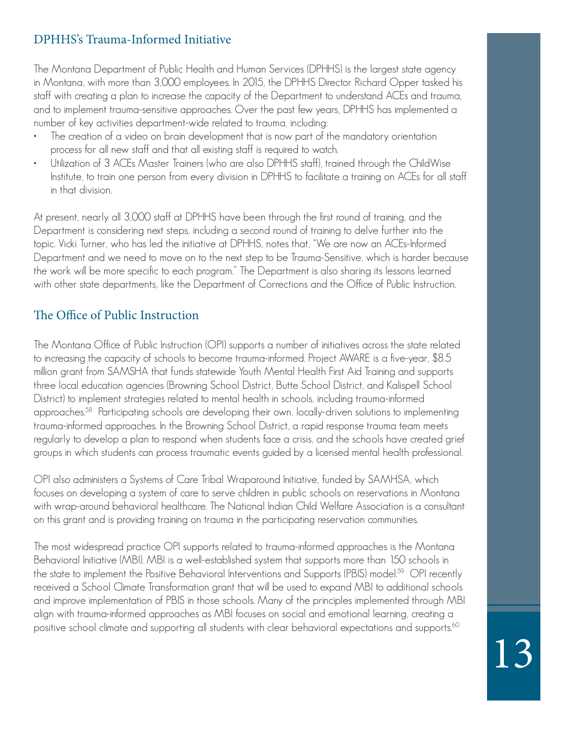### DPHHS's Trauma-Informed Initiative

The Montana Department of Public Health and Human Services (DPHHS) is the largest state agency in Montana, with more than 3,000 employees. In 2015, the DPHHS Director Richard Opper tasked his staff with creating a plan to increase the capacity of the Department to understand ACEs and trauma, and to implement trauma-sensitive approaches. Over the past few years, DPHHS has implemented a number of key activities department-wide related to trauma, including:

- The creation of a video on brain development that is now part of the mandatory orientation process for all new staff and that all existing staff is required to watch.
- Utilization of 3 ACEs Master Trainers (who are also DPHHS staff), trained through the ChildWise Institute, to train one person from every division in DPHHS to facilitate a training on ACEs for all staff in that division.

At present, nearly all 3,000 staff at DPHHS have been through the first round of training, and the Department is considering next steps, including a second round of training to delve further into the topic. Vicki Turner, who has led the initiative at DPHHS, notes that, "We are now an ACEs-Informed Department and we need to move on to the next step to be Trauma-Sensitive, which is harder because the work will be more specific to each program." The Department is also sharing its lessons learned with other state departments, like the Department of Corrections and the Office of Public Instruction.

### The Office of Public Instruction

The Montana Office of Public Instruction (OPI) supports a number of initiatives across the state related to increasing the capacity of schools to become trauma-informed. Project AWARE is a five-year, \$8.5 million grant from SAMSHA that funds statewide Youth Mental Health First Aid Training and supports three local education agencies (Browning School District, Butte School District, and Kalispell School District) to implement strategies related to mental health in schools, including trauma-informed approaches.58 Participating schools are developing their own, locally-driven solutions to implementing trauma-informed approaches. In the Browning School District, a rapid response trauma team meets regularly to develop a plan to respond when students face a crisis, and the schools have created grief groups in which students can process traumatic events guided by a licensed mental health professional.

OPI also administers a Systems of Care Tribal Wraparound Initiative, funded by SAMHSA, which focuses on developing a system of care to serve children in public schools on reservations in Montana with wrap-around behavioral healthcare. The National Indian Child Welfare Association is a consultant on this grant and is providing training on trauma in the participating reservation communities.

The most widespread practice OPI supports related to trauma-informed approaches is the Montana Behavioral Initiative (MBI). MBI is a well-established system that supports more than 150 schools in the state to implement the Positive Behavioral Interventions and Supports (PBIS) model<sup>59</sup> OPI recently received a School Climate Transformation grant that will be used to expand MBI to additional schools and improve implementation of PBIS in those schools. Many of the principles implemented through MBI align with trauma-informed approaches as MBI focuses on social and emotional learning, creating a positive school climate and supporting all students with clear behavioral expectations and supports. $^{\rm 60}$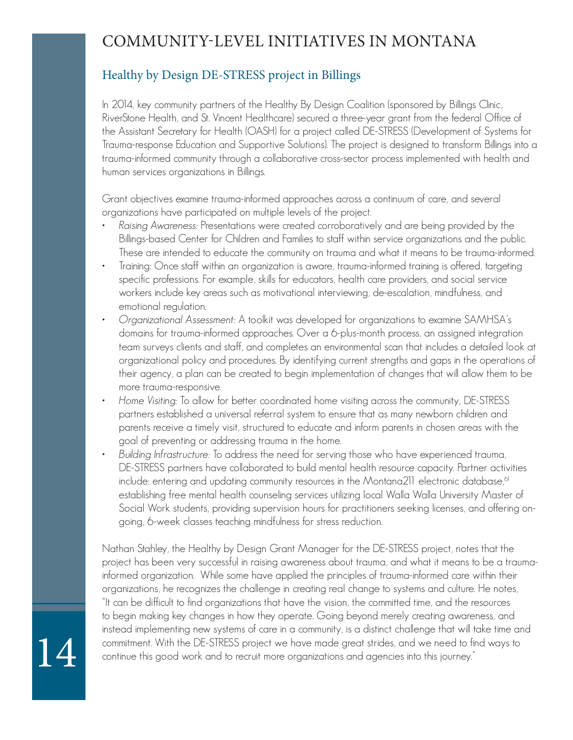### COMMUNITY-LEVEL INITIATIVES IN MONTANA

### Healthy by Design DE-STRESS project in Billings

In 2014, key community partners of the Healthy By Design Coalition (sponsored by Billings Clinic, RiverStone Health, and St. Vincent Healthcare) secured a three-year grant from the federal Office of the Assistant Secretary for Health (OASH) for a project called DE-STRESS (Development of Systems for Trauma-response Education and Supportive Solutions). The project is designed to transform Billings into a trauma-informed community through a collaborative cross-sector process implemented with health and human services organizations in Billings.

Grant objectives examine trauma-informed approaches across a continuum of care, and several organizations have participated on multiple levels of the project.

- Raising Awareness: Presentations were created corroboratively and are being provided by the Billings-based Center for Children and Families to staff within service organizations and the public. These are intended to educate the community on trauma and what it means to be trauma-informed.
- Training: Once staff within an organization is aware, trauma-informed training is offered, targeting specific professions. For example, skills for educators, health care providers, and social service workers include key areas such as motivational interviewing, de-escalation, mindfulness, and emotional regulation.
- Organizational Assessment: A toolkit was developed for organizations to examine SAMHSA's domains for trauma-informed approaches. Over a 6-plus-month process, an assigned integration team surveys clients and staff, and completes an environmental scan that includes a detailed look at organizational policy and procedures. By identifying current strengths and gaps in the operations of their agency, a plan can be created to begin implementation of changes that will allow them to be more trauma-responsive.
- Home Visiting: To allow for better coordinated home visiting across the community, DE-STRESS partners established a universal referral system to ensure that as many newborn children and parents receive a timely visit, structured to educate and inform parents in chosen areas with the goal of preventing or addressing trauma in the home.
- Building Infrastructure: To address the need for serving those who have experienced trauma, DE-STRESS partners have collaborated to build mental health resource capacity. Partner activities include: entering and updating community resources in the Montana211 electronic database, $61$ establishing free mental health counseling services utilizing local Walla Walla University Master of Social Work students, providing supervision hours for practitioners seeking licenses, and offering ongoing, 6-week classes teaching mindfulness for stress reduction.

Nathan Stahley, the Healthy by Design Grant Manager for the DE-STRESS project, notes that the project has been very successful in raising awareness about trauma, and what it means to be a traumainformed organization. While some have applied the principles of trauma-informed care within their organizations, he recognizes the challenge in creating real change to systems and culture. He notes, "It can be difficult to find organizations that have the vision, the committed time, and the resources to begin making key changes in how they operate. Going beyond merely creating awareness, and instead implementing new systems of care in a community, is a distinct challenge that will take time and commitment. With the DE-STRESS project we have made great strides, and we need to find ways to continue this good work and to recruit more organizations and agencies into this journey."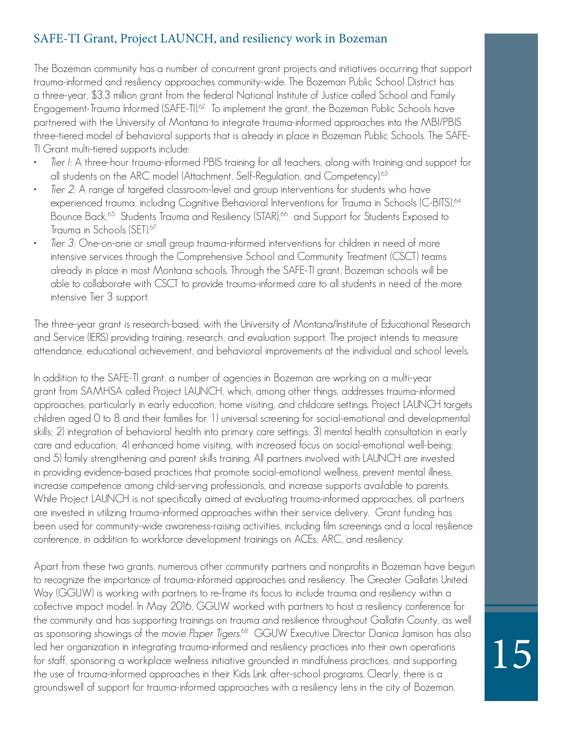### SAFE-TI Grant, Project LAUNCH, and resiliency work in Bozeman

The Bozeman community has a number of concurrent grant projects and initiatives occurring that support trauma-informed and resiliency approaches community-wide. The Bozeman Public School District has a three-year, \$3.3 million grant from the federal National Institute of Justice called School and Family Engagement-Trauma Informed (SAFE-TI).<sup>62</sup> To implement the grant, the Bozeman Public Schools have partnered with the University of Montana to integrate trauma-informed approaches into the MBI/PBIS three-tiered model of behavioral supports that is already in place in Bozeman Public Schools. The SAFE-TI Grant multi-tiered supports include:

- Tier I: A three-hour trauma-informed PBIS training for all teachers, along with training and support for all students on the ARC model (Attachment, Self-Regulation, and Competency).<sup>63</sup>
- Tier 2: A range of targeted classroom-level and group interventions for students who have experienced trauma, including Cognitive Behavioral Interventions for Trauma in Schools (C-BITS),64 Bounce Back,<sup>65</sup> Students Trauma and Resiliency (STAR),<sup>66</sup> and Support for Students Exposed to Trauma in Schools (SET).<sup>67</sup>
- Tier 3: One-on-one or small group trauma-informed interventions for children in need of more intensive services through the Comprehensive School and Community Treatment (CSCT) teams already in place in most Montana schools. Through the SAFE-TI grant, Bozeman schools will be able to collaborate with CSCT to provide trauma-informed care to all students in need of the more intensive Tier 3 support.

The three-year grant is research-based, with the University of Montana/Institute of Educational Research and Service (IERS) providing training, research, and evaluation support. The project intends to measure attendance, educational achievement, and behavioral improvements at the individual and school levels.

In addition to the SAFE-TI grant, a number of agencies in Bozeman are working on a multi-year grant from SAMHSA called Project LAUNCH, which, among other things, addresses trauma-informed approaches, particularly in early education, home visiting, and childcare settings. Project LAUNCH targets children aged 0 to 8 and their families for 1) universal screening for social-emotional and developmental skills; 2) integration of behavioral health into primary care settings; 3) mental health consultation in early care and education; 4) enhanced home visiting, with increased focus on social-emotional well-being; and 5) family strengthening and parent skills training. All partners involved with LAUNCH are invested in providing evidence-based practices that promote social-emotional wellness, prevent mental illness, increase competence among child-serving professionals, and increase supports available to parents. While Project LAUNCH is not specifically aimed at evaluating trauma-informed approaches, all partners are invested in utilizing trauma-informed approaches within their service delivery. Grant funding has been used for community-wide awareness-raising activities, including film screenings and a local resilience conference, in addition to workforce development trainings on ACEs, ARC, and resiliency.

Apart from these two grants, numerous other community partners and nonprofits in Bozeman have begun to recognize the importance of trauma-informed approaches and resiliency. The Greater Gallatin United Way (GGUW) is working with partners to re-frame its focus to include trauma and resiliency within a collective impact model. In May 2016, GGUW worked with partners to host a resiliency conference for the community and has supporting trainings on trauma and resilience throughout Gallatin County, as well as sponsoring showings of the movie Paper Tigers.<sup>68</sup> GGUW Executive Director Danica Jamison has also led her organization in integrating trauma-informed and resiliency practices into their own operations for staff, sponsoring a workplace wellness initiative grounded in mindfulness practices, and supporting the use of trauma-informed approaches in their Kids Link after-school programs. Clearly, there is a groundswell of support for trauma-informed approaches with a resiliency lens in the city of Bozeman.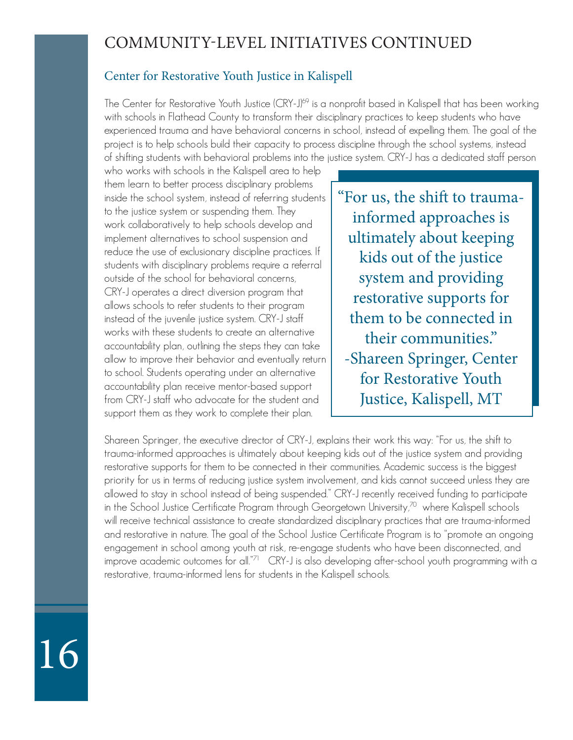### COMMUNITY-LEVEL INITIATIVES CONTINUED

### Center for Restorative Youth Justice in Kalispell

The Center for Restorative Youth Justice (CRY-J)<sup>69</sup> is a nonprofit based in Kalispell that has been working with schools in Flathead County to transform their disciplinary practices to keep students who have experienced trauma and have behavioral concerns in school, instead of expelling them. The goal of the project is to help schools build their capacity to process discipline through the school systems, instead of shifting students with behavioral problems into the justice system. CRY-J has a dedicated staff person

who works with schools in the Kalispell area to help them learn to better process disciplinary problems inside the school system, instead of referring students to the justice system or suspending them. They work collaboratively to help schools develop and implement alternatives to school suspension and reduce the use of exclusionary discipline practices. If students with disciplinary problems require a referral outside of the school for behavioral concerns, CRY-J operates a direct diversion program that allows schools to refer students to their program instead of the juvenile justice system. CRY-J staff works with these students to create an alternative accountability plan, outlining the steps they can take allow to improve their behavior and eventually return to school. Students operating under an alternative accountability plan receive mentor-based support from CRY-J staff who advocate for the student and support them as they work to complete their plan.

"For us, the shift to traumainformed approaches is ultimately about keeping kids out of the justice system and providing restorative supports for them to be connected in their communities." -Shareen Springer, Center for Restorative Youth Justice, Kalispell, MT

Shareen Springer, the executive director of CRY-J, explains their work this way: "For us, the shift to trauma-informed approaches is ultimately about keeping kids out of the justice system and providing restorative supports for them to be connected in their communities. Academic success is the biggest priority for us in terms of reducing justice system involvement, and kids cannot succeed unless they are allowed to stay in school instead of being suspended." CRY-J recently received funding to participate in the School Justice Certificate Program through Georgetown University, $\infty$  where Kalispell schools will receive technical assistance to create standardized disciplinary practices that are trauma-informed and restorative in nature. The goal of the School Justice Certificate Program is to "promote an ongoing engagement in school among youth at risk, re-engage students who have been disconnected, and improve academic outcomes for all."71 CRY-J is also developing after-school youth programming with a restorative, trauma-informed lens for students in the Kalispell schools.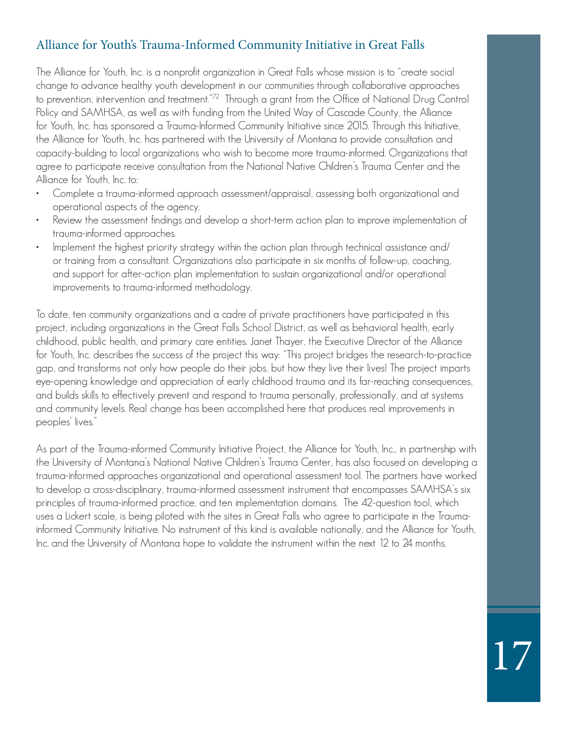### Alliance for Youth's Trauma-Informed Community Initiative in Great Falls

The Alliance for Youth, Inc. is a nonprofit organization in Great Falls whose mission is to "create social change to advance healthy youth development in our communities through collaborative approaches to prevention, intervention and treatment."72 Through a grant from the Office of National Drug Control Policy and SAMHSA, as well as with funding from the United Way of Cascade County, the Alliance for Youth, Inc. has sponsored a Trauma-Informed Community Initiative since 2015. Through this Initiative, the Alliance for Youth, Inc. has partnered with the University of Montana to provide consultation and capacity-building to local organizations who wish to become more trauma-informed. Organizations that agree to participate receive consultation from the National Native Children's Trauma Center and the Alliance for Youth, Inc. to:

- Complete a trauma-informed approach assessment/appraisal, assessing both organizational and operational aspects of the agency.
- Review the assessment findings and develop a short-term action plan to improve implementation of trauma-informed approaches.
- Implement the highest priority strategy within the action plan through technical assistance and/ or training from a consultant. Organizations also participate in six months of follow-up, coaching, and support for after-action plan implementation to sustain organizational and/or operational improvements to trauma-informed methodology.

To date, ten community organizations and a cadre of private practitioners have participated in this project, including organizations in the Great Falls School District, as well as behavioral health, early childhood, public health, and primary care entities. Janet Thayer, the Executive Director of the Alliance for Youth, Inc. describes the success of the project this way: "This project bridges the research-to-practice gap, and transforms not only how people do their jobs, but how they live their lives! The project imparts eye-opening knowledge and appreciation of early childhood trauma and its far-reaching consequences, and builds skills to effectively prevent and respond to trauma personally, professionally, and at systems and community levels. Real change has been accomplished here that produces real improvements in peoples' lives."

As part of the Trauma-informed Community Initiative Project, the Alliance for Youth, Inc., in partnership with the University of Montana's National Native Children's Trauma Center, has also focused on developing a trauma-informed approaches organizational and operational assessment tool. The partners have worked to develop a cross-disciplinary, trauma-informed assessment instrument that encompasses SAMHSA's six principles of trauma-informed practice, and ten implementation domains. The 42-question tool, which uses a Lickert scale, is being piloted with the sites in Great Falls who agree to participate in the Traumainformed Community Initiative. No instrument of this kind is available nationally, and the Alliance for Youth, Inc. and the University of Montana hope to validate the instrument within the next 12 to 24 months.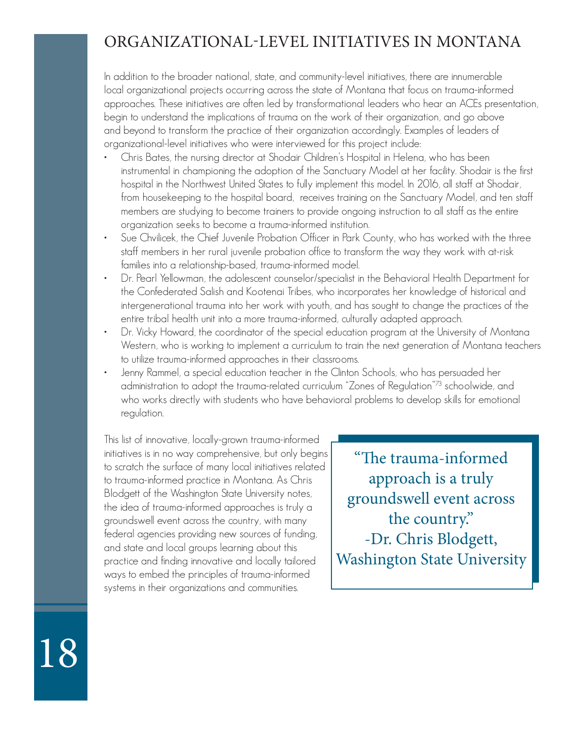### ORGANIZATIONAL-LEVEL INITIATIVES IN MONTANA

In addition to the broader national, state, and community-level initiatives, there are innumerable local organizational projects occurring across the state of Montana that focus on trauma-informed approaches. These initiatives are often led by transformational leaders who hear an ACEs presentation, begin to understand the implications of trauma on the work of their organization, and go above and beyond to transform the practice of their organization accordingly. Examples of leaders of organizational-level initiatives who were interviewed for this project include:

- Chris Bates, the nursing director at Shodair Children's Hospital in Helena, who has been instrumental in championing the adoption of the Sanctuary Model at her facility. Shodair is the first hospital in the Northwest United States to fully implement this model. In 2016, all staff at Shodair, from housekeeping to the hospital board, receives training on the Sanctuary Model, and ten staff members are studying to become trainers to provide ongoing instruction to all staff as the entire organization seeks to become a trauma-informed institution.
- Sue Chvilicek, the Chief Juvenile Probation Officer in Park County, who has worked with the three staff members in her rural juvenile probation office to transform the way they work with at-risk families into a relationship-based, trauma-informed model.
- Dr. Pearl Yellowman, the adolescent counselor/specialist in the Behavioral Health Department for the Confederated Salish and Kootenai Tribes, who incorporates her knowledge of historical and intergenerational trauma into her work with youth, and has sought to change the practices of the entire tribal health unit into a more trauma-informed, culturally adapted approach.
- Dr. Vicky Howard, the coordinator of the special education program at the University of Montana Western, who is working to implement a curriculum to train the next generation of Montana teachers to utilize trauma-informed approaches in their classrooms.
- Jenny Rammel, a special education teacher in the Clinton Schools, who has persuaded her administration to adopt the trauma-related curriculum "Zones of Regulation"73 schoolwide, and who works directly with students who have behavioral problems to develop skills for emotional regulation.

This list of innovative, locally-grown trauma-informed initiatives is in no way comprehensive, but only begins to scratch the surface of many local initiatives related to trauma-informed practice in Montana. As Chris Blodgett of the Washington State University notes, the idea of trauma-informed approaches is truly a groundswell event across the country, with many federal agencies providing new sources of funding, and state and local groups learning about this practice and finding innovative and locally tailored ways to embed the principles of trauma-informed systems in their organizations and communities.

"The trauma-informed approach is a truly groundswell event across the country." -Dr. Chris Blodgett, Washington State University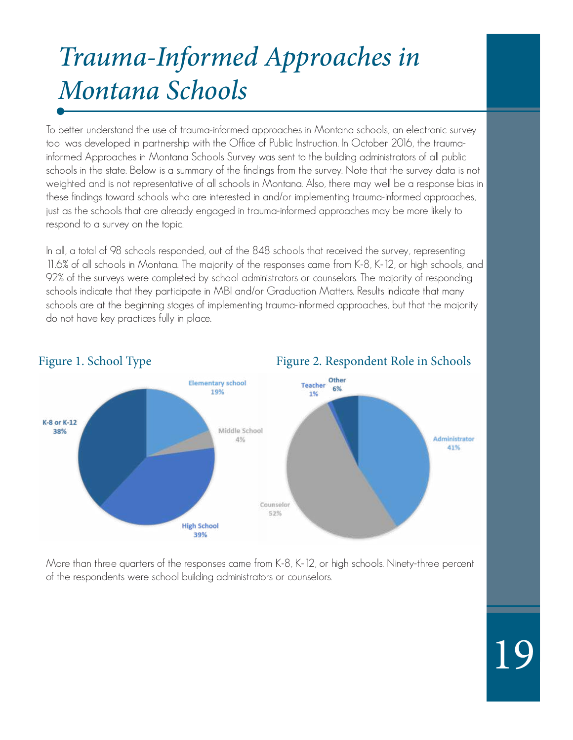## Trauma-Informed Approaches in Montana Schools

To better understand the use of trauma-informed approaches in Montana schools, an electronic survey tool was developed in partnership with the Office of Public Instruction. In October 2016, the traumainformed Approaches in Montana Schools Survey was sent to the building administrators of all public schools in the state. Below is a summary of the findings from the survey. Note that the survey data is not weighted and is not representative of all schools in Montana. Also, there may well be a response bias in these findings toward schools who are interested in and/or implementing trauma-informed approaches, just as the schools that are already engaged in trauma-informed approaches may be more likely to respond to a survey on the topic.

In all, a total of 98 schools responded, out of the 848 schools that received the survey, representing 11.6% of all schools in Montana. The majority of the responses came from K-8, K-12, or high schools, and 92% of the surveys were completed by school administrators or counselors. The majority of responding schools indicate that they participate in MBI and/or Graduation Matters. Results indicate that many schools are at the beginning stages of implementing trauma-informed approaches, but that the majority do not have key practices fully in place.

### Other **Elementary school** Teacher 6% 19% 1% K-8 or K-12 Middle School 38% Administrator 4% 41% Counselor 52% **High School** 39%

More than three quarters of the responses came from K-8, K-12, or high schools. Ninety-three percent of the respondents were school building administrators or counselors.

### Figure 1. School Type Figure 2. Respondent Role in Schools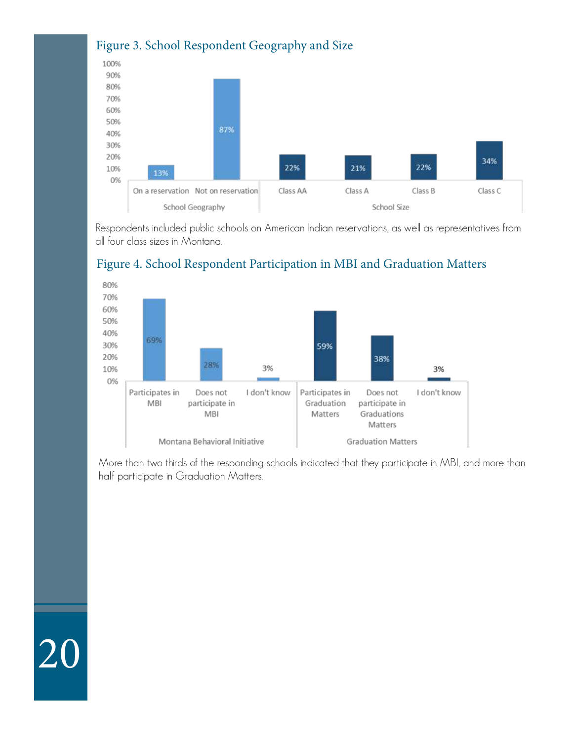

Respondents included public schools on American Indian reservations, as well as representatives from all four class sizes in Montana.



20

### Figure 4. School Respondent Participation in MBI and Graduation Matters

More than two thirds of the responding schools indicated that they participate in MBI, and more than half participate in Graduation Matters.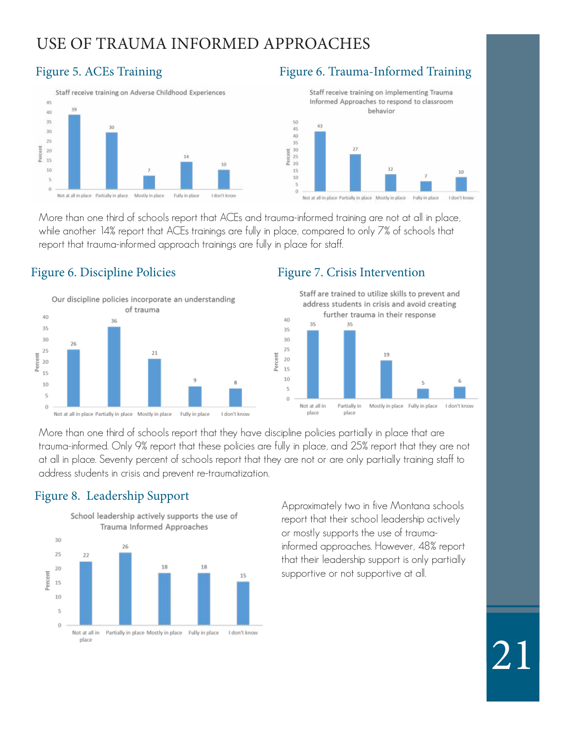### USE OF TRAUMA INFORMED APPROACHES



### Figure 5. ACEs Training Figure 6. Trauma-Informed Training



Not at all in place Partially in place Mostly in place Fully in place I don't kno

More than one third of schools report that ACEs and trauma-informed training are not at all in place, while another 14% report that ACEs trainings are fully in place, compared to only 7% of schools that report that trauma-informed approach trainings are fully in place for staff.

Percent

### Figure 6. Discipline Policies Figure 7. Crisis Intervention



Staff are trained to utilize skills to prevent and address students in crisis and avoid creating further trauma in their response



More than one third of schools report that they have discipline policies partially in place that are trauma-informed. Only 9% report that these policies are fully in place, and 25% report that they are not at all in place. Seventy percent of schools report that they are not or are only partially training staff to address students in crisis and prevent re-traumatization.

Percent

### Figure 8. Leadership Support



Approximately two in five Montana schools report that their school leadership actively or mostly supports the use of traumainformed approaches. However, 48% report that their leadership support is only partially supportive or not supportive at all.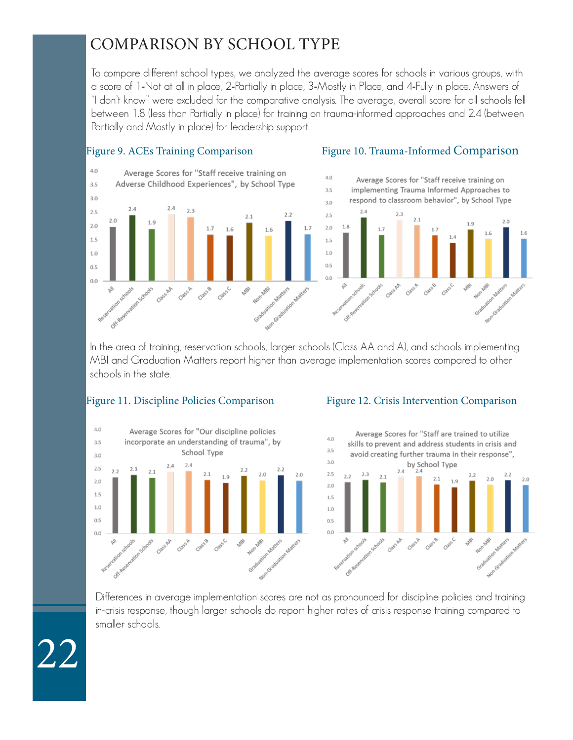### COMPARISON BY SCHOOL TYPE

To compare different school types, we analyzed the average scores for schools in various groups, with a score of 1=Not at all in place, 2=Partially in place, 3=Mostly in Place, and 4=Fully in place. Answers of "I don't know" were excluded for the comparative analysis. The average, overall score for all schools fell between 1.8 (less than Partially in place) for training on trauma-informed approaches and 2.4 (between Partially and Mostly in place) for leadership support.



In the area of training, reservation schools, larger schools (Class AA and A), and schools implementing MBI and Graduation Matters report higher than average implementation scores compared to other schools in the state.



### Figure 11. Discipline Policies Comparison Figure 12. Crisis Intervention Comparison



Differences in average implementation scores are not as pronounced for discipline policies and training in-crisis response, though larger schools do report higher rates of crisis response training compared to smaller schools.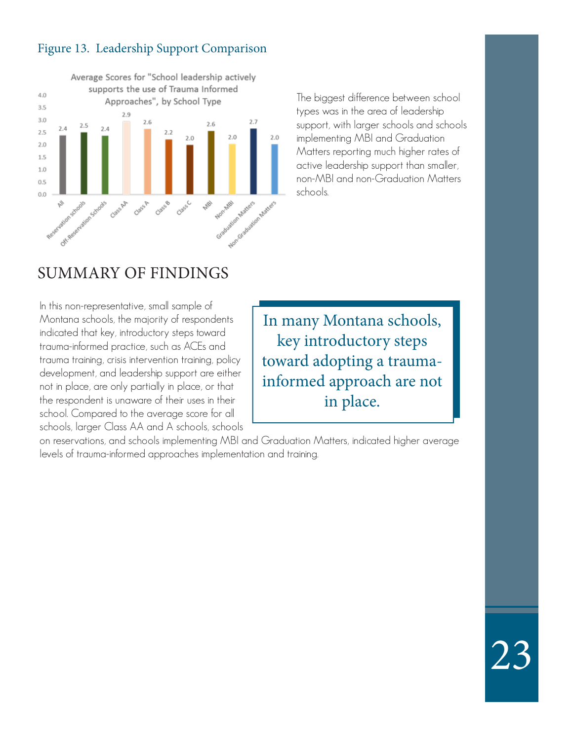### Figure 13. Leadership Support Comparison



The biggest difference between school types was in the area of leadership support, with larger schools and schools implementing MBI and Graduation Matters reporting much higher rates of active leadership support than smaller, non-MBI and non-Graduation Matters schools.

### SUMMARY OF FINDINGS

In this non-representative, small sample of Montana schools, the majority of respondents indicated that key, introductory steps toward trauma-informed practice, such as ACEs and trauma training, crisis intervention training, policy development, and leadership support are either not in place, are only partially in place, or that the respondent is unaware of their uses in their school. Compared to the average score for all schools, larger Class AA and A schools, schools

In many Montana schools, key introductory steps toward adopting a traumainformed approach are not in place.

23

on reservations, and schools implementing MBI and Graduation Matters, indicated higher average levels of trauma-informed approaches implementation and training.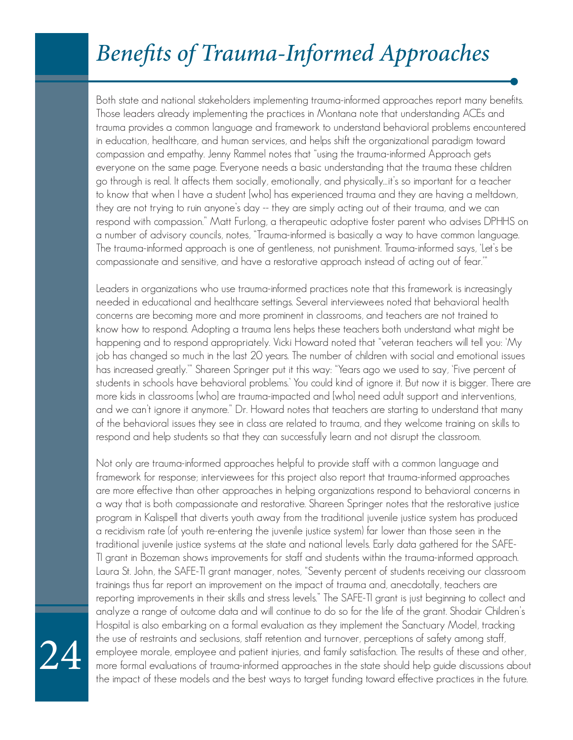## Benefits of Trauma-Informed Approaches

Both state and national stakeholders implementing trauma-informed approaches report many benefits. Those leaders already implementing the practices in Montana note that understanding ACEs and trauma provides a common language and framework to understand behavioral problems encountered in education, healthcare, and human services, and helps shift the organizational paradigm toward compassion and empathy. Jenny Rammel notes that "using the trauma-informed Approach gets everyone on the same page. Everyone needs a basic understanding that the trauma these children go through is real. It affects them socially, emotionally, and physically…it's so important for a teacher to know that when I have a student [who] has experienced trauma and they are having a meltdown, they are not trying to ruin anyone's day -- they are simply acting out of their trauma, and we can respond with compassion." Matt Furlong, a therapeutic adoptive foster parent who advises DPHHS on a number of advisory councils, notes, "Trauma-informed is basically a way to have common language. The trauma-informed approach is one of gentleness, not punishment. Trauma-informed says, 'Let's be compassionate and sensitive, and have a restorative approach instead of acting out of fear.'"

Leaders in organizations who use trauma-informed practices note that this framework is increasingly needed in educational and healthcare settings. Several interviewees noted that behavioral health concerns are becoming more and more prominent in classrooms, and teachers are not trained to know how to respond. Adopting a trauma lens helps these teachers both understand what might be happening and to respond appropriately. Vicki Howard noted that "veteran teachers will tell you: 'My job has changed so much in the last 20 years. The number of children with social and emotional issues has increased greatly.'" Shareen Springer put it this way: "Years ago we used to say, 'Five percent of students in schools have behavioral problems.' You could kind of ignore it. But now it is bigger. There are more kids in classrooms [who] are trauma-impacted and [who] need adult support and interventions, and we can't ignore it anymore." Dr. Howard notes that teachers are starting to understand that many of the behavioral issues they see in class are related to trauma, and they welcome training on skills to respond and help students so that they can successfully learn and not disrupt the classroom.

Not only are trauma-informed approaches helpful to provide staff with a common language and framework for response; interviewees for this project also report that trauma-informed approaches are more effective than other approaches in helping organizations respond to behavioral concerns in a way that is both compassionate and restorative. Shareen Springer notes that the restorative justice program in Kalispell that diverts youth away from the traditional juvenile justice system has produced a recidivism rate (of youth re-entering the juvenile justice system) far lower than those seen in the traditional juvenile justice systems at the state and national levels. Early data gathered for the SAFE-TI grant in Bozeman shows improvements for staff and students within the trauma-informed approach. Laura St. John, the SAFE-TI grant manager, notes, "Seventy percent of students receiving our classroom trainings thus far report an improvement on the impact of trauma and, anecdotally, teachers are reporting improvements in their skills and stress levels." The SAFE-TI grant is just beginning to collect and analyze a range of outcome data and will continue to do so for the life of the grant. Shodair Children's Hospital is also embarking on a formal evaluation as they implement the Sanctuary Model, tracking the use of restraints and seclusions, staff retention and turnover, perceptions of safety among staff, employee morale, employee and patient injuries, and family satisfaction. The results of these and other, more formal evaluations of trauma-informed approaches in the state should help guide discussions about the impact of these models and the best ways to target funding toward effective practices in the future.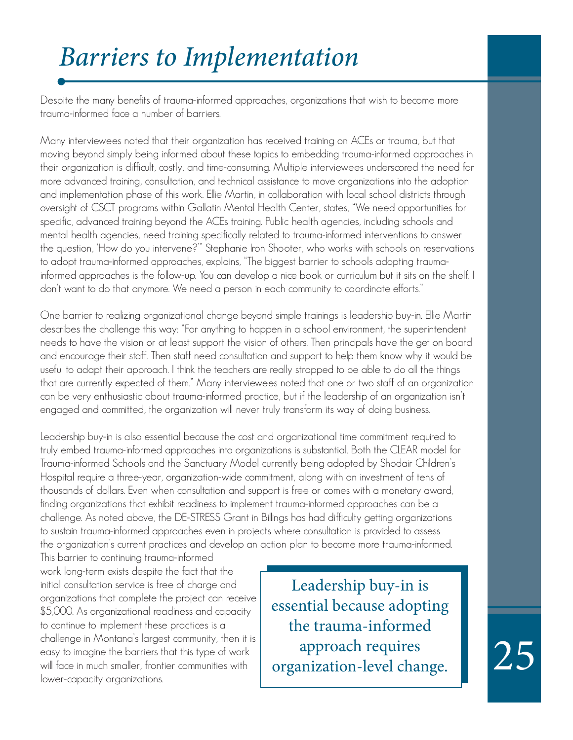## Barriers to Implementation

Despite the many benefits of trauma-informed approaches, organizations that wish to become more trauma-informed face a number of barriers.

Many interviewees noted that their organization has received training on ACEs or trauma, but that moving beyond simply being informed about these topics to embedding trauma-informed approaches in their organization is difficult, costly, and time-consuming. Multiple interviewees underscored the need for more advanced training, consultation, and technical assistance to move organizations into the adoption and implementation phase of this work. Ellie Martin, in collaboration with local school districts through oversight of CSCT programs within Gallatin Mental Health Center, states, "We need opportunities for specific, advanced training beyond the ACEs training. Public health agencies, including schools and mental health agencies, need training specifically related to trauma-informed interventions to answer the question, 'How do you intervene?'" Stephanie Iron Shooter, who works with schools on reservations to adopt trauma-informed approaches, explains, "The biggest barrier to schools adopting traumainformed approaches is the follow-up. You can develop a nice book or curriculum but it sits on the shelf. I don't want to do that anymore. We need a person in each community to coordinate efforts."

One barrier to realizing organizational change beyond simple trainings is leadership buy-in. Ellie Martin describes the challenge this way: "For anything to happen in a school environment, the superintendent needs to have the vision or at least support the vision of others. Then principals have the get on board and encourage their staff. Then staff need consultation and support to help them know why it would be useful to adapt their approach. I think the teachers are really strapped to be able to do all the things that are currently expected of them." Many interviewees noted that one or two staff of an organization can be very enthusiastic about trauma-informed practice, but if the leadership of an organization isn't engaged and committed, the organization will never truly transform its way of doing business.

Leadership buy-in is also essential because the cost and organizational time commitment required to truly embed trauma-informed approaches into organizations is substantial. Both the CLEAR model for Trauma-informed Schools and the Sanctuary Model currently being adopted by Shodair Children's Hospital require a three-year, organization-wide commitment, along with an investment of tens of thousands of dollars. Even when consultation and support is free or comes with a monetary award, finding organizations that exhibit readiness to implement trauma-informed approaches can be a challenge. As noted above, the DE-STRESS Grant in Billings has had difficulty getting organizations to sustain trauma-informed approaches even in projects where consultation is provided to assess the organization's current practices and develop an action plan to become more trauma-informed.

This barrier to continuing trauma-informed work long-term exists despite the fact that the initial consultation service is free of charge and organizations that complete the project can receive \$5,000. As organizational readiness and capacity to continue to implement these practices is a challenge in Montana's largest community, then it is easy to imagine the barriers that this type of work will face in much smaller, frontier communities with lower-capacity organizations.

Leadership buy-in is essential because adopting the trauma-informed approach requires organization-level change.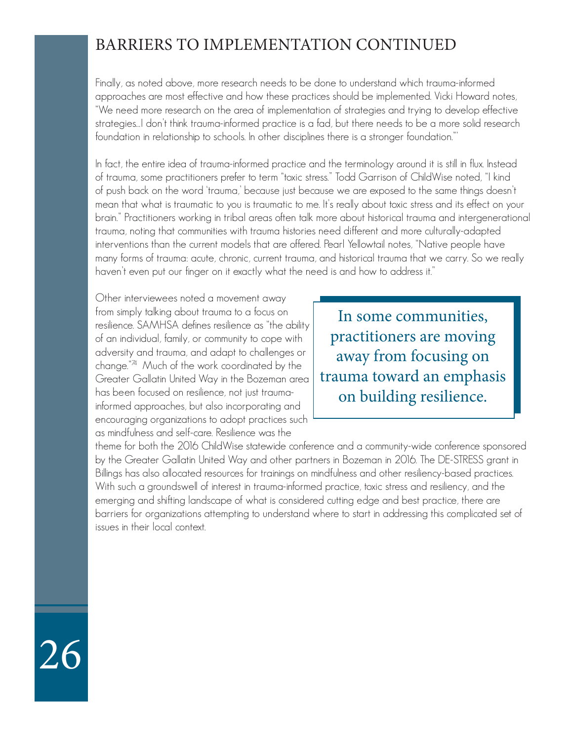### BARRIERS TO IMPLEMENTATION CONTINUED

Finally, as noted above, more research needs to be done to understand which trauma-informed approaches are most effective and how these practices should be implemented. Vicki Howard notes, "We need more research on the area of implementation of strategies and trying to develop effective strategies…I don't think trauma-informed practice is a fad, but there needs to be a more solid research foundation in relationship to schools. In other disciplines there is a stronger foundation."'

In fact, the entire idea of trauma-informed practice and the terminology around it is still in flux. Instead of trauma, some practitioners prefer to term "toxic stress." Todd Garrison of ChildWise noted, "I kind of push back on the word 'trauma,' because just because we are exposed to the same things doesn't mean that what is traumatic to you is traumatic to me. It's really about toxic stress and its effect on your brain." Practitioners working in tribal areas often talk more about historical trauma and intergenerational trauma, noting that communities with trauma histories need different and more culturally-adapted interventions than the current models that are offered. Pearl Yellowtail notes, "Native people have many forms of trauma: acute, chronic, current trauma, and historical trauma that we carry. So we really haven't even put our finger on it exactly what the need is and how to address it."

Other interviewees noted a movement away from simply talking about trauma to a focus on resilience. SAMHSA defines resilience as "the ability of an individual, family, or community to cope with adversity and trauma, and adapt to challenges or change."74 Much of the work coordinated by the Greater Gallatin United Way in the Bozeman area has been focused on resilience, not just traumainformed approaches, but also incorporating and encouraging organizations to adopt practices such as mindfulness and self-care. Resilience was the

In some communities, practitioners are moving away from focusing on trauma toward an emphasis on building resilience.

theme for both the 2016 ChildWise statewide conference and a community-wide conference sponsored by the Greater Gallatin United Way and other partners in Bozeman in 2016. The DE-STRESS grant in Billings has also allocated resources for trainings on mindfulness and other resiliency-based practices. With such a groundswell of interest in trauma-informed practice, toxic stress and resiliency, and the emerging and shifting landscape of what is considered cutting edge and best practice, there are barriers for organizations attempting to understand where to start in addressing this complicated set of issues in their local context.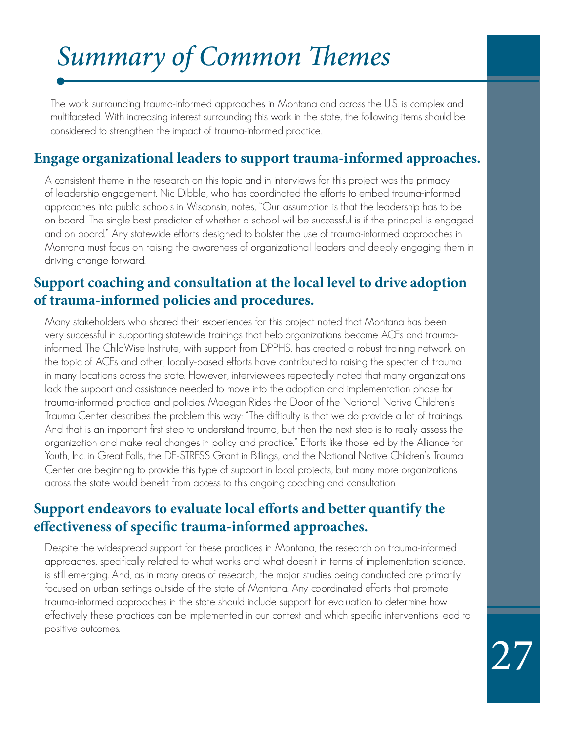## Summary of Common Themes

The work surrounding trauma-informed approaches in Montana and across the U.S. is complex and multifaceted. With increasing interest surrounding this work in the state, the following items should be considered to strengthen the impact of trauma-informed practice.

### **Engage organizational leaders to support trauma-informed approaches.**

A consistent theme in the research on this topic and in interviews for this project was the primacy of leadership engagement. Nic Dibble, who has coordinated the efforts to embed trauma-informed approaches into public schools in Wisconsin, notes, "Our assumption is that the leadership has to be on board. The single best predictor of whether a school will be successful is if the principal is engaged and on board." Any statewide efforts designed to bolster the use of trauma-informed approaches in Montana must focus on raising the awareness of organizational leaders and deeply engaging them in driving change forward.

### **Support coaching and consultation at the local level to drive adoption of trauma-informed policies and procedures.**

Many stakeholders who shared their experiences for this project noted that Montana has been very successful in supporting statewide trainings that help organizations become ACEs and traumainformed. The ChildWise Institute, with support from DPPHS, has created a robust training network on the topic of ACEs and other, locally-based efforts have contributed to raising the specter of trauma in many locations across the state. However, interviewees repeatedly noted that many organizations lack the support and assistance needed to move into the adoption and implementation phase for trauma-informed practice and policies. Maegan Rides the Door of the National Native Children's Trauma Center describes the problem this way: "The difficulty is that we do provide a lot of trainings. And that is an important first step to understand trauma, but then the next step is to really assess the organization and make real changes in policy and practice." Efforts like those led by the Alliance for Youth, Inc. in Great Falls, the DE-STRESS Grant in Billings, and the National Native Children's Trauma Center are beginning to provide this type of support in local projects, but many more organizations across the state would benefit from access to this ongoing coaching and consultation.

### **Support endeavors to evaluate local efforts and better quantify the effectiveness of specific trauma-informed approaches.**

Despite the widespread support for these practices in Montana, the research on trauma-informed approaches, specifically related to what works and what doesn't in terms of implementation science, is still emerging. And, as in many areas of research, the major studies being conducted are primarily focused on urban settings outside of the state of Montana. Any coordinated efforts that promote trauma-informed approaches in the state should include support for evaluation to determine how effectively these practices can be implemented in our context and which specific interventions lead to positive outcomes.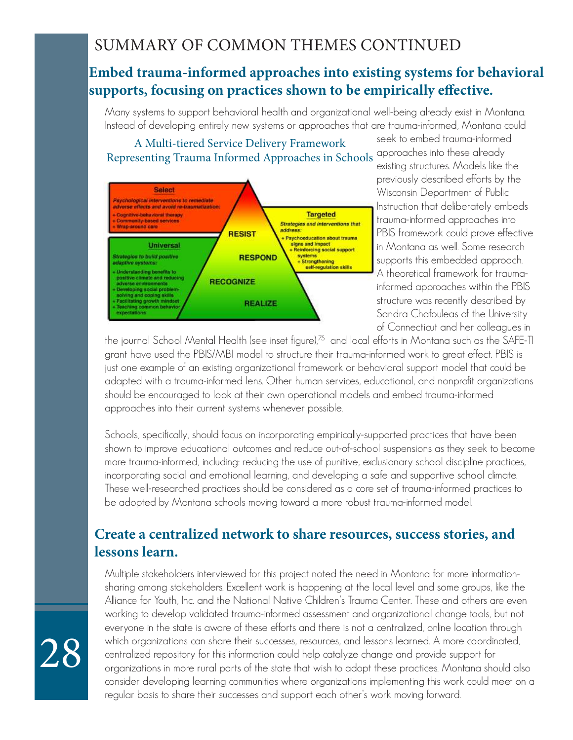### SUMMARY OF COMMON THEMES CONTINUED

### **Embed trauma-informed approaches into existing systems for behavioral supports, focusing on practices shown to be empirically effective.**

Many systems to support behavioral health and organizational well-being already exist in Montana. Instead of developing entirely new systems or approaches that are trauma-informed, Montana could

### Representing Trauma Informed Approaches in Schools approaches into these already A Multi-tiered Service Delivery Framework



seek to embed trauma-informed existing structures. Models like the previously described efforts by the Wisconsin Department of Public Instruction that deliberately embeds trauma-informed approaches into PBIS framework could prove effective in Montana as well. Some research supports this embedded approach. A theoretical framework for traumainformed approaches within the PBIS structure was recently described by Sandra Chafouleas of the University of Connecticut and her colleagues in

the journal School Mental Health (see inset figure),<sup>75</sup> and local efforts in Montana such as the SAFE-TI grant have used the PBIS/MBI model to structure their trauma-informed work to great effect. PBIS is just one example of an existing organizational framework or behavioral support model that could be adapted with a trauma-informed lens. Other human services, educational, and nonprofit organizations should be encouraged to look at their own operational models and embed trauma-informed approaches into their current systems whenever possible.

Schools, specifically, should focus on incorporating empirically-supported practices that have been shown to improve educational outcomes and reduce out-of-school suspensions as they seek to become more trauma-informed, including: reducing the use of punitive, exclusionary school discipline practices, incorporating social and emotional learning, and developing a safe and supportive school climate. These well-researched practices should be considered as a core set of trauma-informed practices to be adopted by Montana schools moving toward a more robust trauma-informed model.

### **Create a centralized network to share resources, success stories, and lessons learn.**

Multiple stakeholders interviewed for this project noted the need in Montana for more informationsharing among stakeholders. Excellent work is happening at the local level and some groups, like the Alliance for Youth, Inc. and the National Native Children's Trauma Center. These and others are even working to develop validated trauma-informed assessment and organizational change tools, but not everyone in the state is aware of these efforts and there is not a centralized, online location through which organizations can share their successes, resources, and lessons learned. A more coordinated, centralized repository for this information could help catalyze change and provide support for organizations in more rural parts of the state that wish to adopt these practices. Montana should also consider developing learning communities where organizations implementing this work could meet on a regular basis to share their successes and support each other's work moving forward.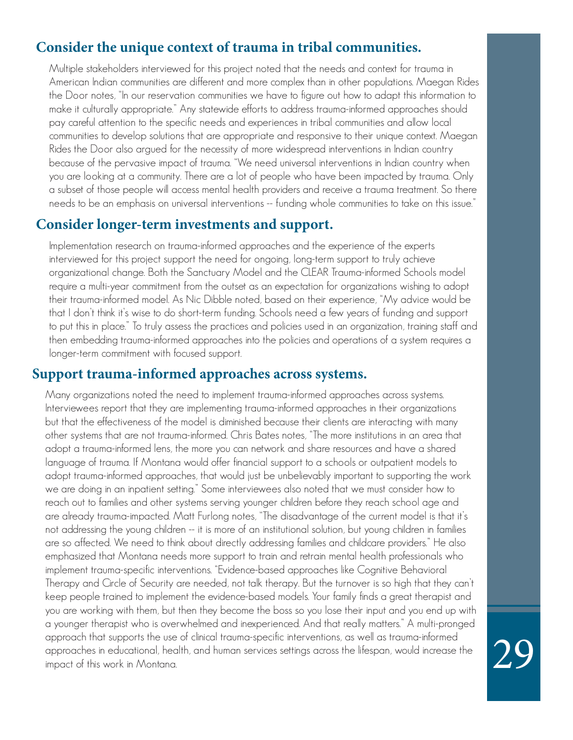### **Consider the unique context of trauma in tribal communities.**

Multiple stakeholders interviewed for this project noted that the needs and context for trauma in American Indian communities are different and more complex than in other populations. Maegan Rides the Door notes, "In our reservation communities we have to figure out how to adapt this information to make it culturally appropriate." Any statewide efforts to address trauma-informed approaches should pay careful attention to the specific needs and experiences in tribal communities and allow local communities to develop solutions that are appropriate and responsive to their unique context. Maegan Rides the Door also argued for the necessity of more widespread interventions in Indian country because of the pervasive impact of trauma. "We need universal interventions in Indian country when you are looking at a community. There are a lot of people who have been impacted by trauma. Only a subset of those people will access mental health providers and receive a trauma treatment. So there needs to be an emphasis on universal interventions -- funding whole communities to take on this issue."

### **Consider longer-term investments and support.**

Implementation research on trauma-informed approaches and the experience of the experts interviewed for this project support the need for ongoing, long-term support to truly achieve organizational change. Both the Sanctuary Model and the CLEAR Trauma-informed Schools model require a multi-year commitment from the outset as an expectation for organizations wishing to adopt their trauma-informed model. As Nic Dibble noted, based on their experience, "My advice would be that I don't think it's wise to do short-term funding. Schools need a few years of funding and support to put this in place." To truly assess the practices and policies used in an organization, training staff and then embedding trauma-informed approaches into the policies and operations of a system requires a longer-term commitment with focused support.

### **Support trauma-informed approaches across systems.**

Many organizations noted the need to implement trauma-informed approaches across systems. Interviewees report that they are implementing trauma-informed approaches in their organizations but that the effectiveness of the model is diminished because their clients are interacting with many other systems that are not trauma-informed. Chris Bates notes, "The more institutions in an area that adopt a trauma-informed lens, the more you can network and share resources and have a shared language of trauma. If Montana would offer financial support to a schools or outpatient models to adopt trauma-informed approaches, that would just be unbelievably important to supporting the work we are doing in an inpatient setting." Some interviewees also noted that we must consider how to reach out to families and other systems serving younger children before they reach school age and are already trauma-impacted. Matt Furlong notes, "The disadvantage of the current model is that it's not addressing the young children -- it is more of an institutional solution, but young children in families are so affected. We need to think about directly addressing families and childcare providers." He also emphasized that Montana needs more support to train and retrain mental health professionals who implement trauma-specific interventions. "Evidence-based approaches like Cognitive Behavioral Therapy and Circle of Security are needed, not talk therapy. But the turnover is so high that they can't keep people trained to implement the evidence-based models. Your family finds a great therapist and you are working with them, but then they become the boss so you lose their input and you end up with a younger therapist who is overwhelmed and inexperienced. And that really matters." A multi-pronged approach that supports the use of clinical trauma-specific interventions, as well as trauma-informed approaches in educational, health, and human services settings across the lifespan, would increase the impact of this work in Montana.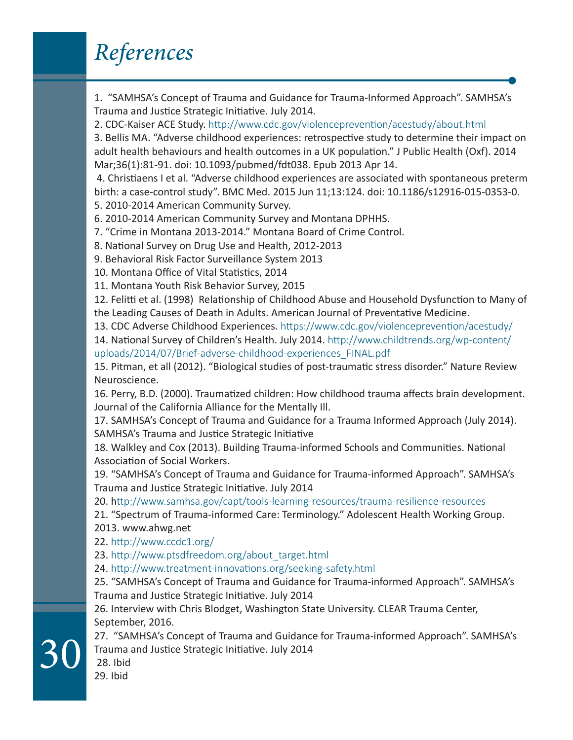## References

1. "SAMHSA's Concept of Trauma and Guidance for Trauma-Informed Approach". SAMHSA's Trauma and Justice Strategic Initiative. July 2014.

2. CDC-Kaiser ACE Study. http://www.cdc.gov/violenceprevention/acestudy/about.html

3. Bellis MA. "Adverse childhood experiences: retrospective study to determine their impact on adult health behaviours and health outcomes in a UK population." J Public Health (Oxf). 2014 Mar;36(1):81-91. doi: 10.1093/pubmed/fdt038. Epub 2013 Apr 14.

 4. Christiaens I et al. "Adverse childhood experiences are associated with spontaneous preterm birth: a case-control study". BMC Med. 2015 Jun 11;13:124. doi: 10.1186/s12916-015-0353-0.

5. 2010-2014 American Community Survey.

6. 2010-2014 American Community Survey and Montana DPHHS.

7. "Crime in Montana 2013-2014." Montana Board of Crime Control.

8. National Survey on Drug Use and Health, 2012-2013

9. Behavioral Risk Factor Surveillance System 2013

10. Montana Office of Vital Statistics, 2014

11. Montana Youth Risk Behavior Survey, 2015

12. Felitti et al. (1998) Relationship of Childhood Abuse and Household Dysfunction to Many of the Leading Causes of Death in Adults. American Journal of Preventative Medicine.

13. CDC Adverse Childhood Experiences. https://www.cdc.gov/violenceprevention/acestudy/

14. National Survey of Children's Health. July 2014. http://www.childtrends.org/wp-content/ uploads/2014/07/Brief-adverse-childhood-experiences\_FINAL.pdf

15. Pitman, et all (2012). "Biological studies of post-traumatic stress disorder." Nature Review Neuroscience.

16. Perry, B.D. (2000). Traumatized children: How childhood trauma affects brain development. Journal of the California Alliance for the Mentally Ill.

17. SAMHSA's Concept of Trauma and Guidance for a Trauma Informed Approach (July 2014). SAMHSA's Trauma and Justice Strategic Initiative

18. Walkley and Cox (2013). Building Trauma-informed Schools and Communities. National Association of Social Workers.

19. "SAMHSA's Concept of Trauma and Guidance for Trauma-informed Approach". SAMHSA's Trauma and Justice Strategic Initiative. July 2014

20. http://www.samhsa.gov/capt/tools-learning-resources/trauma-resilience-resources

21. "Spectrum of Trauma-informed Care: Terminology." Adolescent Health Working Group. 2013. www.ahwg.net

22. http://www.ccdc1.org/

23. http://www.ptsdfreedom.org/about\_target.html

24. http://www.treatment-innovations.org/seeking-safety.html

25. "SAMHSA's Concept of Trauma and Guidance for Trauma-informed Approach". SAMHSA's Trauma and Justice Strategic Initiative. July 2014

26. Interview with Chris Blodget, Washington State University. CLEAR Trauma Center, September, 2016.

27. "SAMHSA's Concept of Trauma and Guidance for Trauma-informed Approach". SAMHSA's Trauma and Justice Strategic Initiative. July 2014

 28. Ibid 29. Ibid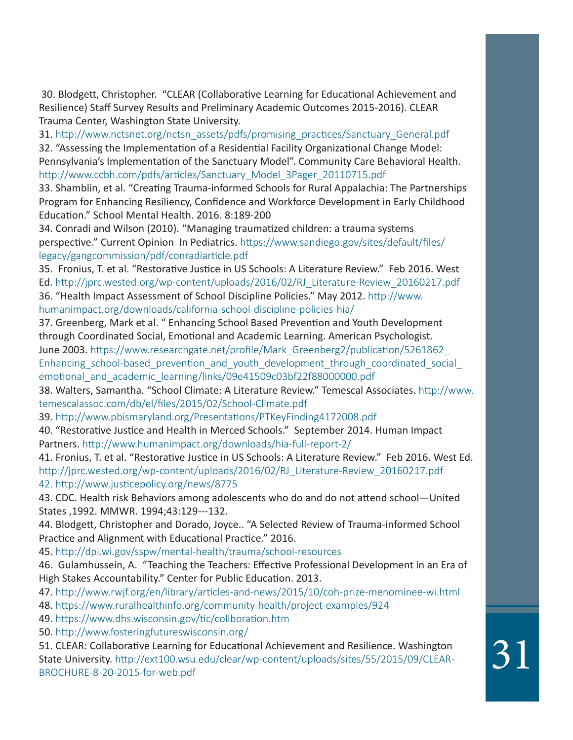30. Blodgett, Christopher. "CLEAR (Collaborative Learning for Educational Achievement and Resilience) Staff Survey Results and Preliminary Academic Outcomes 2015-2016). CLEAR Trauma Center, Washington State University.

31. http://www.nctsnet.org/nctsn\_assets/pdfs/promising\_practices/Sanctuary\_General.pdf

32. "Assessing the Implementation of a Residential Facility Organizational Change Model: Pennsylvania's Implementation of the Sanctuary Model". Community Care Behavioral Health. http://www.ccbh.com/pdfs/articles/Sanctuary\_Model\_3Pager\_20110715.pdf

33. Shamblin, et al. "Creating Trauma-informed Schools for Rural Appalachia: The Partnerships Program for Enhancing Resiliency, Confidence and Workforce Development in Early Childhood Education." School Mental Health. 2016. 8:189-200

34. Conradi and Wilson (2010). "Managing traumatized children: a trauma systems perspective." Current Opinion In Pediatrics. https://www.sandiego.gov/sites/default/files/ legacy/gangcommission/pdf/conradiarticle.pdf

35. Fronius, T. et al. "Restorative Justice in US Schools: A Literature Review." Feb 2016. West

Ed. http://jprc.wested.org/wp-content/uploads/2016/02/RJ\_Literature-Review\_20160217.pdf 36. "Health Impact Assessment of School Discipline Policies." May 2012. http://www.

humanimpact.org/downloads/california-school-discipline-policies-hia/

37. Greenberg, Mark et al. " Enhancing School Based Prevention and Youth Development through Coordinated Social, Emotional and Academic Learning. American Psychologist. June 2003. https://www.researchgate.net/profile/Mark\_Greenberg2/publication/5261862 Enhancing school-based prevention and youth development through coordinated social emotional and academic learning/links/09e41509c03bf22f88000000.pdf

38. Walters, Samantha. "School Climate: A Literature Review." Temescal Associates. http://www. temescalassoc.com/db/el/files/2015/02/School-Climate.pdf

39. http://www.pbismaryland.org/Presentations/PTKeyFinding4172008.pdf

40. "Restorative Justice and Health in Merced Schools." September 2014. Human Impact Partners. http://www.humanimpact.org/downloads/hia-full-report-2/

41. Fronius, T. et al. "Restorative Justice in US Schools: A Literature Review." Feb 2016. West Ed. http://jprc.wested.org/wp-content/uploads/2016/02/RJ\_Literature-Review\_20160217.pdf 42. http://www.justicepolicy.org/news/8775

43. CDC. Health risk Behaviors among adolescents who do and do not attend school—United States ,1992. MMWR. 1994;43:129---132.

44. Blodgett, Christopher and Dorado, Joyce.. "A Selected Review of Trauma-informed School Practice and Alignment with Educational Practice." 2016.

45. http://dpi.wi.gov/sspw/mental-health/trauma/school-resources

46. Gulamhussein, A. "Teaching the Teachers: Effective Professional Development in an Era of High Stakes Accountability." Center for Public Education. 2013.

47. http://www.rwjf.org/en/library/articles-and-news/2015/10/coh-prize-menominee-wi.html

48. https://www.ruralhealthinfo.org/community-health/project-examples/924

49. https://www.dhs.wisconsin.gov/tic/collboration.htm

50. http://www.fosteringfutureswisconsin.org/

51. CLEAR: Collaborative Learning for Educational Achievement and Resilience. Washington State University. http://ext100.wsu.edu/clear/wp-content/uploads/sites/55/2015/09/CLEAR-BROCHURE-8-20-2015-for-web.pdf